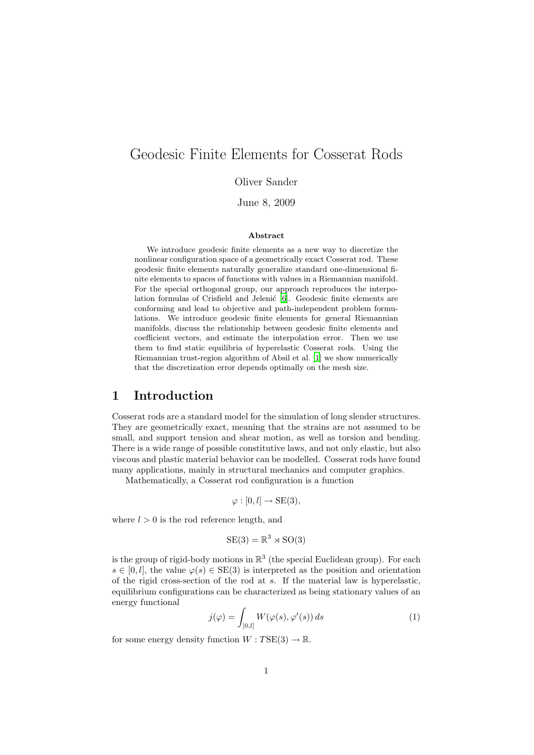# Geodesic Finite Elements for Cosserat Rods

Oliver Sander

June 8, 2009

#### Abstract

We introduce geodesic finite elements as a new way to discretize the nonlinear configuration space of a geometrically exact Cosserat rod. These geodesic finite elements naturally generalize standard one-dimensional finite elements to spaces of functions with values in a Riemannian manifold. For the special orthogonal group, our approach reproduces the interpo-lation formulas of Crisfield and Jelenić [\[6\]](#page-24-0). Geodesic finite elements are conforming and lead to objective and path-independent problem formulations. We introduce geodesic finite elements for general Riemannian manifolds, discuss the relationship between geodesic finite elements and coefficient vectors, and estimate the interpolation error. Then we use them to find static equilibria of hyperelastic Cosserat rods. Using the Riemannian trust-region algorithm of Absil et al. [\[1](#page-24-1)] we show numerically that the discretization error depends optimally on the mesh size.

### 1 Introduction

Cosserat rods are a standard model for the simulation of long slender structures. They are geometrically exact, meaning that the strains are not assumed to be small, and support tension and shear motion, as well as torsion and bending. There is a wide range of possible constitutive laws, and not only elastic, but also viscous and plastic material behavior can be modelled. Cosserat rods have found many applications, mainly in structural mechanics and computer graphics.

Mathematically, a Cosserat rod configuration is a function

$$
\varphi : [0, l] \to \text{SE}(3),
$$

where  $l > 0$  is the rod reference length, and

$$
SE(3) = \mathbb{R}^3 \rtimes SO(3)
$$

is the group of rigid-body motions in  $\mathbb{R}^3$  (the special Euclidean group). For each  $s \in [0, l]$ , the value  $\varphi(s) \in SE(3)$  is interpreted as the position and orientation of the rigid cross-section of the rod at  $s$ . If the material law is hyperelastic, equilibrium configurations can be characterized as being stationary values of an energy functional

$$
j(\varphi) = \int_{[0,l]} W(\varphi(s), \varphi'(s)) ds \tag{1}
$$

<span id="page-0-0"></span>for some energy density function  $W: TSE(3) \to \mathbb{R}$ .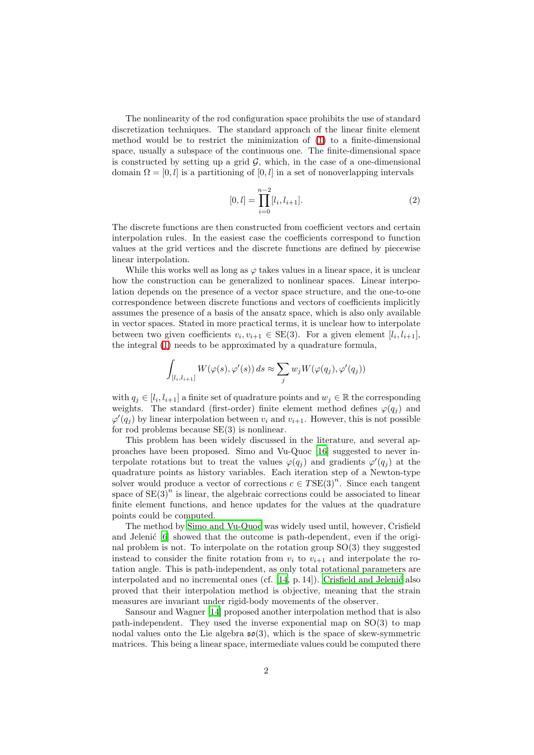The nonlinearity of the rod configuration space prohibits the use of standard discretization techniques. The standard approach of the linear finite element method would be to restrict the minimization of [\(1\)](#page-0-0) to a finite-dimensional space, usually a subspace of the continuous one. The finite-dimensional space is constructed by setting up a grid  $G$ , which, in the case of a one-dimensional domain  $\Omega = [0, l]$  is a partitioning of  $[0, l]$  in a set of nonoverlapping intervals

$$
[0,l] = \prod_{i=0}^{n-2} [l_i, l_{i+1}].
$$
 (2)

The discrete functions are then constructed from coefficient vectors and certain interpolation rules. In the easiest case the coefficients correspond to function values at the grid vertices and the discrete functions are defined by piecewise linear interpolation.

While this works well as long as  $\varphi$  takes values in a linear space, it is unclear how the construction can be generalized to nonlinear spaces. Linear interpolation depends on the presence of a vector space structure, and the one-to-one correspondence between discrete functions and vectors of coefficients implicitly assumes the presence of a basis of the ansatz space, which is also only available in vector spaces. Stated in more practical terms, it is unclear how to interpolate between two given coefficients  $v_i, v_{i+1} \in SE(3)$ . For a given element  $[l_i, l_{i+1}],$ the integral [\(1\)](#page-0-0) needs to be approximated by a quadrature formula,

$$
\int_{[l_i,l_{i+1}]} W(\varphi(s),\varphi'(s))\,ds \approx \sum_j w_j W(\varphi(q_j),\varphi'(q_j))
$$

with  $q_j \in [l_i, l_{i+1}]$  a finite set of quadrature points and  $w_j \in \mathbb{R}$  the corresponding weights. The standard (first-order) finite element method defines  $\varphi(q_i)$  and  $\varphi'(q_j)$  by linear interpolation between  $v_i$  and  $v_{i+1}$ . However, this is not possible for rod problems because  $SE(3)$  is nonlinear.

This problem has been widely discussed in the literature, and several approaches have been proposed. Simo and Vu-Quoc [\[16](#page-25-0)] suggested to never interpolate rotations but to treat the values  $\varphi(q_j)$  and gradients  $\varphi'(q_j)$  at the quadrature points as history variables. Each iteration step of a Newton-type solver would produce a vector of corrections  $c \in TSE(3)^n$ . Since each tangent space of  $SE(3)^n$  is linear, the algebraic corrections could be associated to linear finite element functions, and hence updates for the values at the quadrature points could be computed.

The method by [Simo and Vu-Quoc](#page-25-0) was widely used until, however, Crisfield and Jelenić [\[6](#page-24-0)] showed that the outcome is path-dependent, even if the original problem is not. To interpolate on the rotation group SO(3) they suggested instead to consider the finite rotation from  $v_i$  to  $v_{i+1}$  and interpolate the rotation angle. This is path-independent, as only total rotational parameters are interpolated and no incremental ones (cf.  $[14, p. 14]$ ). Crisfield and Jelenić also proved that their interpolation method is objective, meaning that the strain measures are invariant under rigid-body movements of the observer.

Sansour and Wagner [\[14](#page-24-2)] proposed another interpolation method that is also path-independent. They used the inverse exponential map on SO(3) to map nodal values onto the Lie algebra  $\mathfrak{so}(3)$ , which is the space of skew-symmetric matrices. This being a linear space, intermediate values could be computed there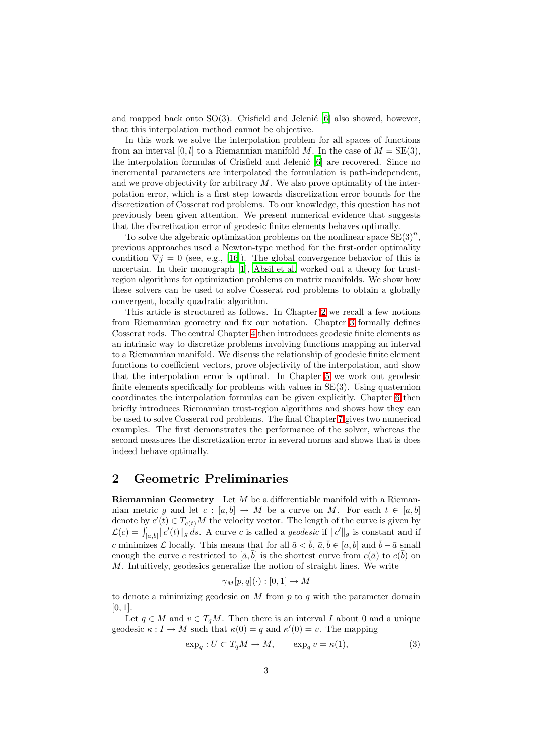and mapped back onto  $SO(3)$ . Crisfield and Jelenić [\[6\]](#page-24-0) also showed, however, that this interpolation method cannot be objective.

In this work we solve the interpolation problem for all spaces of functions from an interval [0, l] to a Riemannian manifold M. In the case of  $M = SE(3)$ , the interpolation formulas of Crisfield and Jelenić [\[6](#page-24-0)] are recovered. Since no incremental parameters are interpolated the formulation is path-independent, and we prove objectivity for arbitrary  $M$ . We also prove optimality of the interpolation error, which is a first step towards discretization error bounds for the discretization of Cosserat rod problems. To our knowledge, this question has not previously been given attention. We present numerical evidence that suggests that the discretization error of geodesic finite elements behaves optimally.

To solve the algebraic optimization problems on the nonlinear space  $\overline{\text{SE}(3)}^n$ , previous approaches used a Newton-type method for the first-order optimality condition  $\nabla j = 0$  (see, e.g., [\[16](#page-25-0)]). The global convergence behavior of this is uncertain. In their monograph [\[1\]](#page-24-1), [Absil et al.](#page-24-1) worked out a theory for trustregion algorithms for optimization problems on matrix manifolds. We show how these solvers can be used to solve Cosserat rod problems to obtain a globally convergent, locally quadratic algorithm.

This article is structured as follows. In Chapter [2](#page-2-0) we recall a few notions from Riemannian geometry and fix our notation. Chapter [3](#page-5-0) formally defines Cosserat rods. The central Chapter [4](#page-8-0) then introduces geodesic finite elements as an intrinsic way to discretize problems involving functions mapping an interval to a Riemannian manifold. We discuss the relationship of geodesic finite element functions to coefficient vectors, prove objectivity of the interpolation, and show that the interpolation error is optimal. In Chapter [5](#page-13-0) we work out geodesic finite elements specifically for problems with values in SE(3). Using quaternion coordinates the interpolation formulas can be given explicitly. Chapter [6](#page-15-0) then briefly introduces Riemannian trust-region algorithms and shows how they can be used to solve Cosserat rod problems. The final Chapter [7](#page-20-0) gives two numerical examples. The first demonstrates the performance of the solver, whereas the second measures the discretization error in several norms and shows that is does indeed behave optimally.

## <span id="page-2-0"></span>2 Geometric Preliminaries

**Riemannian Geometry** Let  $M$  be a differentiable manifold with a Riemannian metric q and let c :  $[a, b] \rightarrow M$  be a curve on M. For each  $t \in [a, b]$ denote by  $c'(t) \in T_{c(t)}M$  the velocity vector. The length of the curve is given by  $\mathcal{L}(c) = \int_{[a,b]} ||c'(t)||_g ds$ . A curve c is called a *geodesic* if  $||c'||_g$  is constant and if c minimizes L locally. This means that for all  $\bar{a} < \bar{b}$ ,  $\bar{a}, \bar{b} \in [a, b]$  and  $\bar{b} - \bar{a}$  small enough the curve c restricted to  $[\bar{a}, \bar{b}]$  is the shortest curve from  $c(\bar{a})$  to  $c(\bar{b})$  on M. Intuitively, geodesics generalize the notion of straight lines. We write

$$
\gamma_M[p,q](\cdot):[0,1]\to M
$$

to denote a minimizing geodesic on  $M$  from  $p$  to  $q$  with the parameter domain  $[0, 1]$ .

Let  $q \in M$  and  $v \in T_qM$ . Then there is an interval I about 0 and a unique geodesic  $\kappa : I \to M$  such that  $\kappa(0) = q$  and  $\kappa'(0) = v$ . The mapping

$$
\exp_q: U \subset T_q M \to M, \qquad \exp_q v = \kappa(1), \tag{3}
$$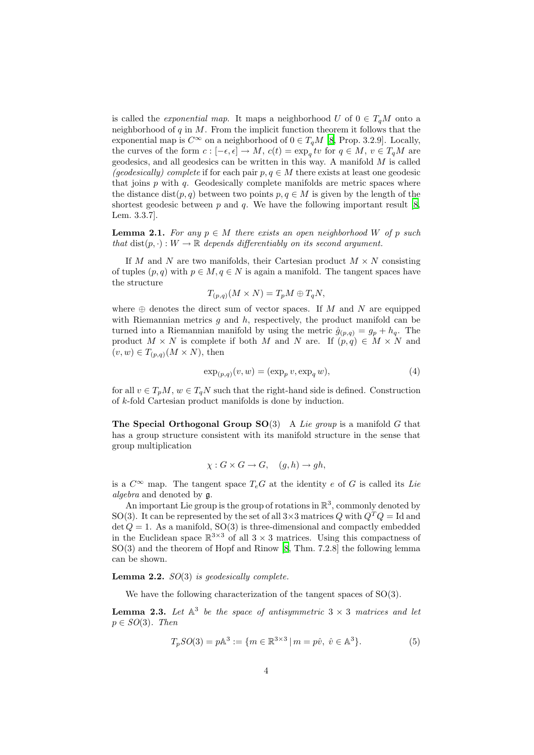is called the *exponential map*. It maps a neighborhood U of  $0 \in T_qM$  onto a neighborhood of  $q$  in  $M$ . From the implicit function theorem it follows that the exponential map is  $C^{\infty}$  on a neighborhood of  $0 \in T_qM$  [\[8,](#page-24-3) Prop. 3.2.9]. Locally, the curves of the form  $c: [-\epsilon, \epsilon] \to M$ ,  $c(t) = \exp_q tv$  for  $q \in M$ ,  $v \in T_qM$  are geodesics, and all geodesics can be written in this way. A manifold  $M$  is called *(geodesically) complete* if for each pair  $p, q \in M$  there exists at least one geodesic that joins  $p$  with  $q$ . Geodesically complete manifolds are metric spaces where the distance dist $(p, q)$  between two points  $p, q \in M$  is given by the length of the shortest geodesic between  $p$  and  $q$ . We have the following important result [\[8,](#page-24-3) Lem. 3.3.7].

<span id="page-3-2"></span>**Lemma 2.1.** For any  $p \in M$  there exists an open neighborhood W of p such *that*  $dist(p, \cdot): W \to \mathbb{R}$  *depends differentiably on its second argument.* 

If M and N are two manifolds, their Cartesian product  $M \times N$  consisting of tuples  $(p, q)$  with  $p \in M$ ,  $q \in N$  is again a manifold. The tangent spaces have the structure

$$
T_{(p,q)}(M\times N)=T_pM\oplus T_qN,
$$

where  $\oplus$  denotes the direct sum of vector spaces. If M and N are equipped with Riemannian metrics q and  $h$ , respectively, the product manifold can be turned into a Riemannian manifold by using the metric  $\hat{g}_{(p,q)} = g_p + h_q$ . The product  $M \times N$  is complete if both M and N are. If  $(p,q) \in M \times N$  and  $(v, w) \in T_{(p,q)}(M \times N)$ , then

$$
\exp_{(p,q)}(v,w) = (\exp_p v, \exp_q w),\tag{4}
$$

<span id="page-3-1"></span>for all  $v \in T_pM$ ,  $w \in T_qN$  such that the right-hand side is defined. Construction of k-fold Cartesian product manifolds is done by induction.

The Special Orthogonal Group SO(3) A *Lie group* is a manifold G that has a group structure consistent with its manifold structure in the sense that group multiplication

$$
\chi: G \times G \to G, \quad (g, h) \to gh,
$$

is a  $C^{\infty}$  map. The tangent space  $T_eG$  at the identity e of G is called its *Lie algebra* and denoted by g.

An important Lie group is the group of rotations in  $\mathbb{R}^3$ , commonly denoted by SO(3). It can be represented by the set of all  $3\times 3$  matrices Q with  $Q^TQ = \text{Id}$  and det  $Q = 1$ . As a manifold, SO(3) is three-dimensional and compactly embedded in the Euclidean space  $\mathbb{R}^{3\times3}$  of all  $3\times3$  matrices. Using this compactness of SO(3) and the theorem of Hopf and Rinow [\[8,](#page-24-3) Thm. 7.2.8] the following lemma can be shown.

#### <span id="page-3-3"></span>Lemma 2.2. *SO*(3) *is geodesically complete.*

We have the following characterization of the tangent spaces of  $SO(3)$ .

<span id="page-3-4"></span><span id="page-3-0"></span>**Lemma 2.3.** Let  $A^3$  be the space of antisymmetric  $3 \times 3$  matrices and let p ∈ *SO*(3)*. Then*

$$
T_pSO(3) = p\mathbb{A}^3 := \{ m \in \mathbb{R}^{3 \times 3} \mid m = p\hat{v}, \ \hat{v} \in \mathbb{A}^3 \}. \tag{5}
$$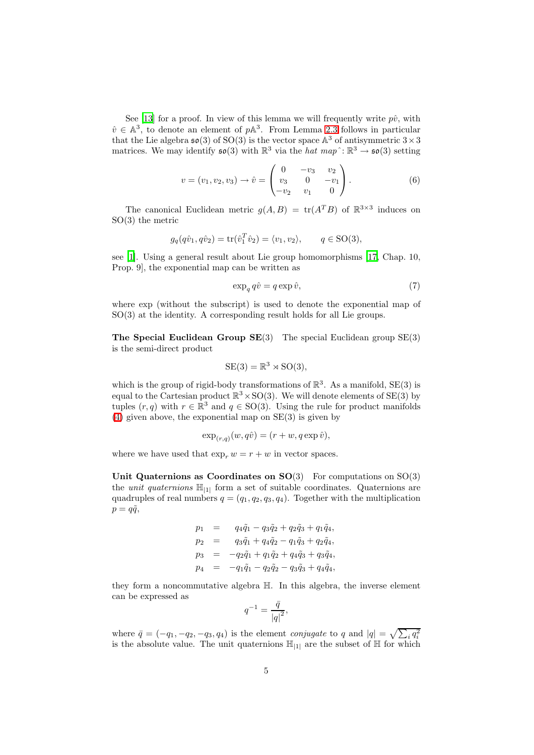See [\[13](#page-24-4)] for a proof. In view of this lemma we will frequently write  $p\hat{v}$ , with  $\hat{v} \in \mathbb{A}^3$ , to denote an element of  $p\mathbb{A}^3$ . From Lemma [2.3](#page-3-0) follows in particular that the Lie algebra  $\mathfrak{so}(3)$  of  ${\rm SO}(3)$  is the vector space  ${\mathbb A}^3$  of antisymmetric  $3 \times 3$ matrices. We may identify  $\mathfrak{so}(3)$  with  $\mathbb{R}^3$  via the *hat map*<sup> $\cdot$ </sup>:  $\mathbb{R}^3 \to \mathfrak{so}(3)$  setting

$$
v = (v_1, v_2, v_3) \rightarrow \hat{v} = \begin{pmatrix} 0 & -v_3 & v_2 \\ v_3 & 0 & -v_1 \\ -v_2 & v_1 & 0 \end{pmatrix}.
$$
 (6)

<span id="page-4-0"></span>The canonical Euclidean metric  $g(A, B) = \text{tr}(A^T B)$  of  $\mathbb{R}^{3 \times 3}$  induces on SO(3) the metric

<span id="page-4-1"></span>
$$
g_q(q\hat{v}_1, q\hat{v}_2) = \text{tr}(\hat{v}_1^T \hat{v}_2) = \langle v_1, v_2 \rangle, \qquad q \in \text{SO}(3),
$$

see [\[1\]](#page-24-1). Using a general result about Lie group homomorphisms [\[17,](#page-25-1) Chap. 10, Prop. 9], the exponential map can be written as

$$
\exp_q q\hat{v} = q \exp \hat{v},\tag{7}
$$

where exp (without the subscript) is used to denote the exponential map of SO(3) at the identity. A corresponding result holds for all Lie groups.

The Special Euclidean Group  $SE(3)$  The special Euclidean group  $SE(3)$ is the semi-direct product

$$
SE(3) = \mathbb{R}^3 \rtimes SO(3),
$$

which is the group of rigid-body transformations of  $\mathbb{R}^3$ . As a manifold,  $SE(3)$  is equal to the Cartesian product  $\mathbb{R}^3 \times SO(3)$ . We will denote elements of SE(3) by tuples  $(r, q)$  with  $r \in \mathbb{R}^3$  and  $q \in SO(3)$ . Using the rule for product manifolds [\(4\)](#page-3-1) given above, the exponential map on SE(3) is given by

$$
\exp_{(r,q)}(w,q\hat{v}) = (r+w,q\exp\hat{v}),
$$

where we have used that  $\exp_r w = r + w$  in vector spaces.

Unit Quaternions as Coordinates on  $SO(3)$  For computations on  $SO(3)$ the *unit quaternions*  $\mathbb{H}_{1}$  form a set of suitable coordinates. Quaternions are quadruples of real numbers  $q = (q_1, q_2, q_3, q_4)$ . Together with the multiplication  $p = q\tilde{q}$ ,

$$
p_1 = q_4\tilde{q}_1 - q_3\tilde{q}_2 + q_2\tilde{q}_3 + q_1\tilde{q}_4,
$$
  
\n
$$
p_2 = q_3\tilde{q}_1 + q_4\tilde{q}_2 - q_1\tilde{q}_3 + q_2\tilde{q}_4,
$$
  
\n
$$
p_3 = -q_2\tilde{q}_1 + q_1\tilde{q}_2 + q_4\tilde{q}_3 + q_3\tilde{q}_4,
$$
  
\n
$$
p_4 = -q_1\tilde{q}_1 - q_2\tilde{q}_2 - q_3\tilde{q}_3 + q_4\tilde{q}_4,
$$

they form a noncommutative algebra H. In this algebra, the inverse element can be expressed as

$$
q^{-1} = \frac{\bar{q}}{\left|q\right|^2},
$$

where  $\bar{q} = (-q_1, -q_2, -q_3, q_4)$  is the element *conjugate* to q and  $|q| = \sqrt{\sum_i q_i^2}$ is the absolute value. The unit quaternions  $\mathbb{H}_{11}$  are the subset of  $\mathbb H$  for which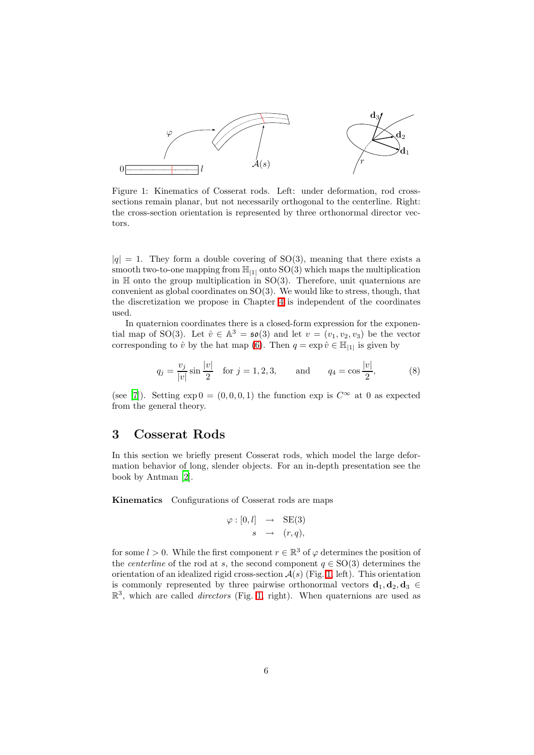

<span id="page-5-1"></span>Figure 1: Kinematics of Cosserat rods. Left: under deformation, rod crosssections remain planar, but not necessarily orthogonal to the centerline. Right: the cross-section orientation is represented by three orthonormal director vectors.

 $|q| = 1$ . They form a double covering of SO(3), meaning that there exists a smooth two-to-one mapping from  $\mathbb{H}_{11}$  onto  $SO(3)$  which maps the multiplication in  $H$  onto the group multiplication in SO(3). Therefore, unit quaternions are convenient as global coordinates on SO(3). We would like to stress, though, that the discretization we propose in Chapter [4](#page-8-0) is independent of the coordinates used.

In quaternion coordinates there is a closed-form expression for the exponential map of SO(3). Let  $\hat{v} \in \mathbb{A}^3 = \mathfrak{so}(3)$  and let  $v = (v_1, v_2, v_3)$  be the vector corresponding to  $\hat{v}$  by the hat map [\(6\)](#page-4-0). Then  $q = \exp \hat{v} \in \mathbb{H}_{|1|}$  is given by

$$
q_j = \frac{v_j}{|v|} \sin \frac{|v|}{2}
$$
 for  $j = 1, 2, 3$ , and  $q_4 = \cos \frac{|v|}{2}$ , (8)

<span id="page-5-2"></span>(see [\[7](#page-24-5)]). Setting  $\exp 0 = (0, 0, 0, 1)$  the function  $\exp$  is  $C^{\infty}$  at 0 as expected from the general theory.

#### <span id="page-5-0"></span>3 Cosserat Rods

In this section we briefly present Cosserat rods, which model the large deformation behavior of long, slender objects. For an in-depth presentation see the book by Antman [\[2\]](#page-24-6).

Kinematics Configurations of Cosserat rods are maps

$$
\varphi : [0, l] \rightarrow \text{SE}(3) s \rightarrow (r, q),
$$

for some  $l > 0$ . While the first component  $r \in \mathbb{R}^3$  of  $\varphi$  determines the position of the *centerline* of the rod at s, the second component  $q \in SO(3)$  determines the orientation of an idealized rigid cross-section  $A(s)$  (Fig. [1,](#page-5-1) left). This orientation is commonly represented by three pairwise orthonormal vectors  $\mathbf{d}_1, \mathbf{d}_2, \mathbf{d}_3 \in$  $\mathbb{R}^3$ , which are called *directors* (Fig. [1,](#page-5-1) right). When quaternions are used as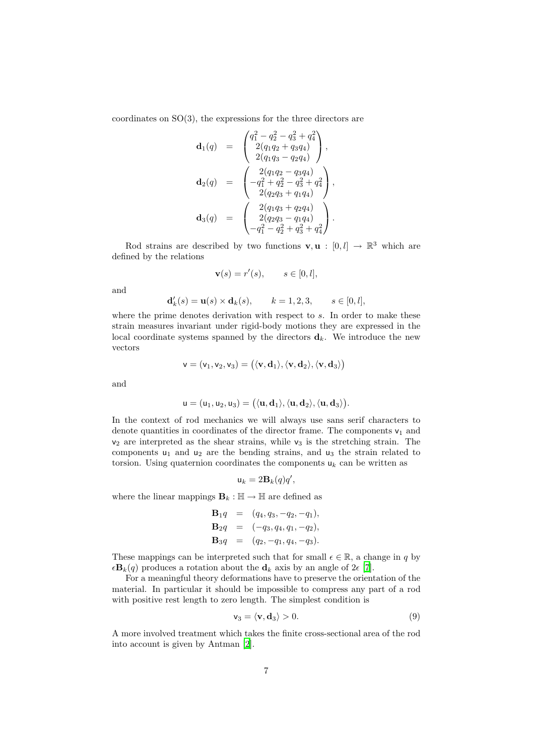coordinates on SO(3), the expressions for the three directors are

$$
\mathbf{d}_1(q) = \begin{pmatrix} q_1^2 - q_2^2 - q_3^2 + q_4^2 \\ 2(q_1q_2 + q_3q_4) \\ 2(q_1q_3 - q_2q_4) \end{pmatrix},
$$

$$
\mathbf{d}_2(q) = \begin{pmatrix} 2(q_1q_2 - q_3q_4) \\ -q_1^2 + q_2^2 - q_3^2 + q_4^2 \\ 2(q_2q_3 + q_1q_4) \end{pmatrix},
$$

$$
\mathbf{d}_3(q) = \begin{pmatrix} 2(q_1q_3 + q_2q_4) \\ 2(q_2q_3 - q_1q_4) \\ -q_1^2 - q_2^2 + q_3^2 + q_4^2 \end{pmatrix}.
$$

Rod strains are described by two functions  $\mathbf{v}, \mathbf{u} : [0, l] \to \mathbb{R}^3$  which are defined by the relations

$$
\mathbf{v}(s) = r'(s), \qquad s \in [0, l],
$$

and

$$
\mathbf{d}'_k(s) = \mathbf{u}(s) \times \mathbf{d}_k(s), \qquad k = 1, 2, 3, \qquad s \in [0, l],
$$

where the prime denotes derivation with respect to s. In order to make these strain measures invariant under rigid-body motions they are expressed in the local coordinate systems spanned by the directors  $\mathbf{d}_k$ . We introduce the new vectors

$$
\mathsf{v}=(\mathsf{v}_1,\mathsf{v}_2,\mathsf{v}_3)=\big(\langle \mathbf{v},\mathbf{d}_1\rangle,\langle \mathbf{v},\mathbf{d}_2\rangle,\langle \mathbf{v},\mathbf{d}_3\rangle\big)
$$

and

$$
\mathsf{u}=(\mathsf{u}_1,\mathsf{u}_2,\mathsf{u}_3)=\big(\langle \mathbf{u},\mathbf{d}_1\rangle,\langle \mathbf{u},\mathbf{d}_2\rangle,\langle \mathbf{u},\mathbf{d}_3\rangle\big).
$$

In the context of rod mechanics we will always use sans serif characters to denote quantities in coordinates of the director frame. The components  $v_1$  and  $v_2$  are interpreted as the shear strains, while  $v_3$  is the stretching strain. The components  $u_1$  and  $u_2$  are the bending strains, and  $u_3$  the strain related to torsion. Using quaternion coordinates the components  $u_k$  can be written as

$$
\mathbf{u}_k = 2\mathbf{B}_k(q)q',
$$

where the linear mappings  $\mathbf{B}_k : \mathbb{H} \to \mathbb{H}$  are defined as

$$
\mathbf{B}_1 q = (q_4, q_3, -q_2, -q_1), \n\mathbf{B}_2 q = (-q_3, q_4, q_1, -q_2), \n\mathbf{B}_3 q = (q_2, -q_1, q_4, -q_3).
$$

These mappings can be interpreted such that for small  $\epsilon \in \mathbb{R}$ , a change in q by  $\epsilon \mathbf{B}_k(q)$  produces a rotation about the  $\mathbf{d}_k$  axis by an angle of  $2\epsilon$  [\[7\]](#page-24-5).

For a meaningful theory deformations have to preserve the orientation of the material. In particular it should be impossible to compress any part of a rod with positive rest length to zero length. The simplest condition is

$$
\mathsf{v}_3 = \langle \mathbf{v}, \mathbf{d}_3 \rangle > 0. \tag{9}
$$

<span id="page-6-0"></span>A more involved treatment which takes the finite cross-sectional area of the rod into account is given by Antman [\[2](#page-24-6)].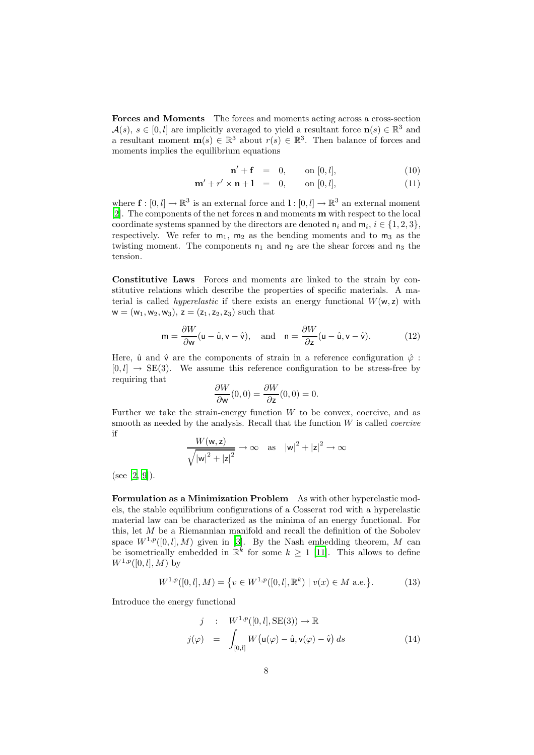Forces and Moments The forces and moments acting across a cross-section  $\mathcal{A}(s), s \in [0, l]$  are implicitly averaged to yield a resultant force  $\mathbf{n}(s) \in \mathbb{R}^3$  and a resultant moment  $\mathbf{m}(s) \in \mathbb{R}^3$  about  $r(s) \in \mathbb{R}^3$ . Then balance of forces and moments implies the equilibrium equations

$$
\mathbf{n}' + \mathbf{f} = 0, \qquad \text{on } [0, l], \tag{10}
$$

<span id="page-7-2"></span>
$$
\mathbf{m}' + r' \times \mathbf{n} + 1 = 0, \quad \text{on } [0, l], \tag{11}
$$

where  $\mathbf{f} : [0, l] \to \mathbb{R}^3$  is an external force and  $l : [0, l] \to \mathbb{R}^3$  an external moment [\[2\]](#page-24-6). The components of the net forces n and moments m with respect to the local coordinate systems spanned by the directors are denoted  $n_i$  and  $m_i$ ,  $i \in \{1, 2, 3\}$ , respectively. We refer to  $m_1$ ,  $m_2$  as the bending moments and to  $m_3$  as the twisting moment. The components  $n_1$  and  $n_2$  are the shear forces and  $n_3$  the tension.

Constitutive Laws Forces and moments are linked to the strain by constitutive relations which describe the properties of specific materials. A material is called *hyperelastic* if there exists an energy functional  $W(w, z)$  with  $w = (w_1, w_2, w_3), z = (z_1, z_2, z_3)$  such that

$$
\mathsf{m} = \frac{\partial W}{\partial \mathsf{w}} (\mathsf{u} - \hat{\mathsf{u}}, \mathsf{v} - \hat{\mathsf{v}}), \quad \text{and} \quad \mathsf{n} = \frac{\partial W}{\partial \mathsf{z}} (\mathsf{u} - \hat{\mathsf{u}}, \mathsf{v} - \hat{\mathsf{v}}).
$$
 (12)

<span id="page-7-1"></span>Here,  $\hat{u}$  and  $\hat{v}$  are the components of strain in a reference configuration  $\hat{\varphi}$ :  $[0, l] \rightarrow SE(3)$ . We assume this reference configuration to be stress-free by requiring that

$$
\frac{\partial W}{\partial w}(0,0) = \frac{\partial W}{\partial z}(0,0) = 0.
$$

Further we take the strain-energy function  $W$  to be convex, coercive, and as smooth as needed by the analysis. Recall that the function W is called *coercive* if

$$
\frac{W(\mathsf{w},\mathsf{z})}{\sqrt{|\mathsf{w}|^2+|\mathsf{z}|^2}} \to \infty \quad \text{as} \quad |\mathsf{w}|^2+|\mathsf{z}|^2 \to \infty
$$

(see [\[2,](#page-24-6) [9\]](#page-24-7)).

Formulation as a Minimization Problem As with other hyperelastic models, the stable equilibrium configurations of a Cosserat rod with a hyperelastic material law can be characterized as the minima of an energy functional. For this, let  $M$  be a Riemannian manifold and recall the definition of the Sobolev space  $W^{1,p}([0,l], M)$  given in [\[3\]](#page-24-8). By the Nash embedding theorem, M can be isometrically embedded in  $\mathbb{R}^k$  for some  $k \geq 1$  [\[11\]](#page-24-9). This allows to define  $W^{1,p}([0, l], M)$  by

$$
W^{1,p}([0,l],M) = \{ v \in W^{1,p}([0,l], \mathbb{R}^k) \mid v(x) \in M \text{ a.e.} \}. \tag{13}
$$

<span id="page-7-3"></span><span id="page-7-0"></span>Introduce the energy functional

$$
j : W^{1,p}([0,l], \text{SE}(3)) \to \mathbb{R}
$$
  

$$
j(\varphi) = \int_{[0,l]} W(u(\varphi) - \hat{u}, v(\varphi) - \hat{v}) ds
$$
 (14)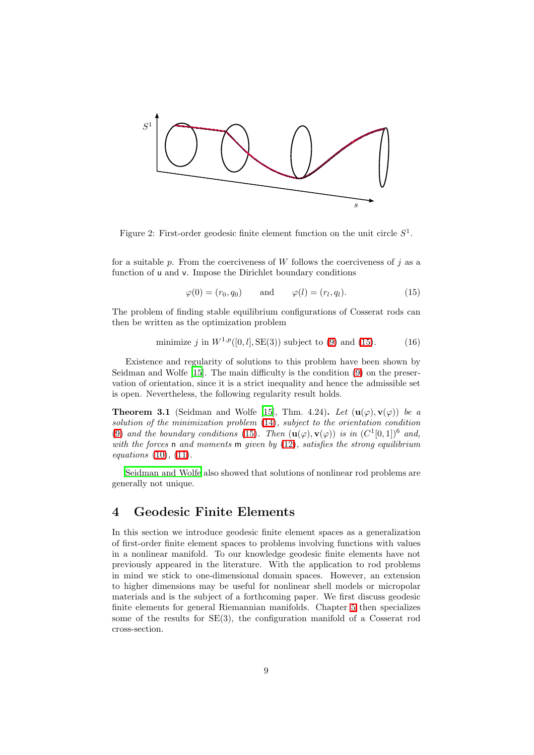

<span id="page-8-2"></span>Figure 2: First-order geodesic finite element function on the unit circle  $S^1$ .

for a suitable  $p$ . From the coerciveness of  $W$  follows the coerciveness of  $j$  as a function of u and v. Impose the Dirichlet boundary conditions

$$
\varphi(0) = (r_0, q_0) \quad \text{and} \quad \varphi(l) = (r_l, q_l). \tag{15}
$$

<span id="page-8-1"></span>The problem of finding stable equilibrium configurations of Cosserat rods can then be written as the optimization problem

minimize 
$$
j
$$
 in  $W^{1,p}([0, l], SE(3))$  subject to (9) and (15). (16)

<span id="page-8-3"></span>Existence and regularity of solutions to this problem have been shown by Seidman and Wolfe [\[15](#page-25-2)]. The main difficulty is the condition [\(9\)](#page-6-0) on the preservation of orientation, since it is a strict inequality and hence the admissible set is open. Nevertheless, the following regularity result holds.

**Theorem 3.1** (Seidman and Wolfe [\[15\]](#page-25-2), Thm. 4.24). Let  $(\mathbf{u}(\varphi), \mathbf{v}(\varphi))$  be a *solution of the minimization problem* [\(14\)](#page-7-0)*, subject to the orientation condition* [\(9\)](#page-6-0) and the boundary conditions [\(15\)](#page-8-1). Then  $(\mathbf{u}(\varphi), \mathbf{v}(\varphi))$  is in  $(C^1[0, 1])^6$  and, *with the forces* n *and moments* m *given by* [\(12\)](#page-7-1)*, satisfies the strong equilibrium equations* [\(10\)](#page-7-2)*,* [\(11\)](#page-7-2)*.*

[Seidman and Wolfe](#page-25-2) also showed that solutions of nonlinear rod problems are generally not unique.

### <span id="page-8-0"></span>4 Geodesic Finite Elements

In this section we introduce geodesic finite element spaces as a generalization of first-order finite element spaces to problems involving functions with values in a nonlinear manifold. To our knowledge geodesic finite elements have not previously appeared in the literature. With the application to rod problems in mind we stick to one-dimensional domain spaces. However, an extension to higher dimensions may be useful for nonlinear shell models or micropolar materials and is the subject of a forthcoming paper. We first discuss geodesic finite elements for general Riemannian manifolds. Chapter [5](#page-13-0) then specializes some of the results for SE(3), the configuration manifold of a Cosserat rod cross-section.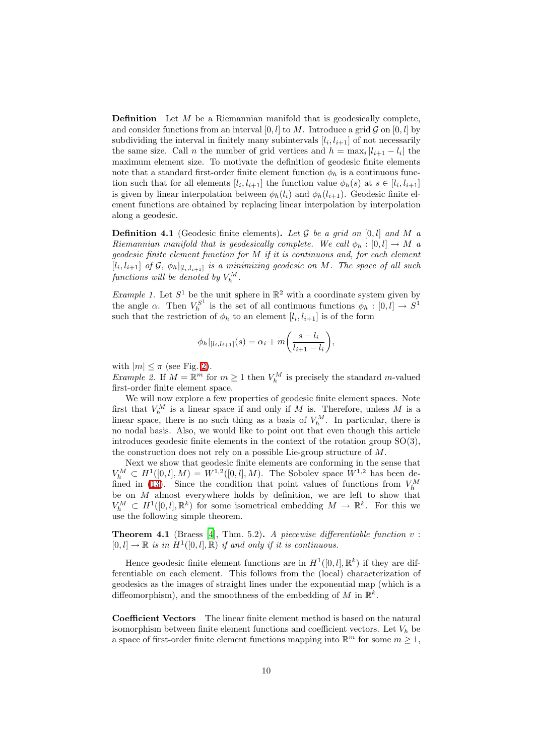**Definition** Let  $M$  be a Riemannian manifold that is geodesically complete, and consider functions from an interval [0, l] to M. Introduce a grid  $\mathcal G$  on [0, l] by subdividing the interval in finitely many subintervals  $[l_i, l_{i+1}]$  of not necessarily the same size. Call *n* the number of grid vertices and  $h = \max_i |l_{i+1} - l_i|$  the maximum element size. To motivate the definition of geodesic finite elements note that a standard first-order finite element function  $\phi_h$  is a continuous function such that for all elements  $[l_i, l_{i+1}]$  the function value  $\phi_h(s)$  at  $s \in [l_i, l_{i+1}]$ is given by linear interpolation between  $\phi_h(l_i)$  and  $\phi_h(l_{i+1})$ . Geodesic finite element functions are obtained by replacing linear interpolation by interpolation along a geodesic.

**Definition 4.1** (Geodesic finite elements). Let  $\mathcal G$  be a grid on [0, l] and M a *Riemannian manifold that is geodesically complete. We call*  $\phi_h : [0, l] \rightarrow M$  *a geodesic finite element function for* M *if it is continuous and, for each element*  $[l_i, l_{i+1}]$  of  $G$ ,  $\phi_h|_{[l_i, l_{i+1}]}$  is a minimizing geodesic on M. The space of all such  $\emph{functions will be denoted by $V_h^M$.}$ 

*Example 1.* Let  $S^1$  be the unit sphere in  $\mathbb{R}^2$  with a coordinate system given by the angle  $\alpha$ . Then  $V_h^{S^1}$  is the set of all continuous functions  $\phi_h : [0, l] \to S^1$ such that the restriction of  $\phi_h$  to an element  $[l_i, l_{i+1}]$  is of the form

$$
\phi_h|_{[l_i, l_{i+1}]}(s) = \alpha_i + m\left(\frac{s - l_i}{l_{i+1} - l_i}\right),\,
$$

with  $|m| \leq \pi$  (see Fig. [2\)](#page-8-2).

*Example 2.* If  $M = \mathbb{R}^m$  for  $m \geq 1$  then  $V_h^M$  is precisely the standard m-valued first-order finite element space.

We will now explore a few properties of geodesic finite element spaces. Note first that  $V_h^M$  is a linear space if and only if M is. Therefore, unless M is a linear space, there is no such thing as a basis of  $V_h^M$ . In particular, there is no nodal basis. Also, we would like to point out that even though this article introduces geodesic finite elements in the context of the rotation group SO(3), the construction does not rely on a possible Lie-group structure of M.

Next we show that geodesic finite elements are conforming in the sense that  $V_h^M \,\subset H^1([0,l],M) = W^{1,2}([0,l],M)$ . The Sobolev space  $W^{1,2}$  has been de-fined in [\(13\)](#page-7-3). Since the condition that point values of functions from  $V_h^M$ be on  $M$  almost everywhere holds by definition, we are left to show that  $V_h^M \subset H^1([0,l],\mathbb{R}^k)$  for some isometrical embedding  $M \to \mathbb{R}^k$ . For this we use the following simple theorem.

Theorem 4.1 (Braess [\[4\]](#page-24-10), Thm. 5.2). *A piecewise differentiable function* v :  $[0, l] \to \mathbb{R}$  *is in*  $H^1([0, l], \mathbb{R})$  *if and only if it is continuous.* 

Hence geodesic finite element functions are in  $H^1([0,l],\mathbb{R}^k)$  if they are differentiable on each element. This follows from the (local) characterization of geodesics as the images of straight lines under the exponential map (which is a diffeomorphism), and the smoothness of the embedding of M in  $\mathbb{R}^k$ .

Coefficient Vectors The linear finite element method is based on the natural isomorphism between finite element functions and coefficient vectors. Let  $V<sub>h</sub>$  be a space of first-order finite element functions mapping into  $\mathbb{R}^m$  for some  $m \geq 1$ ,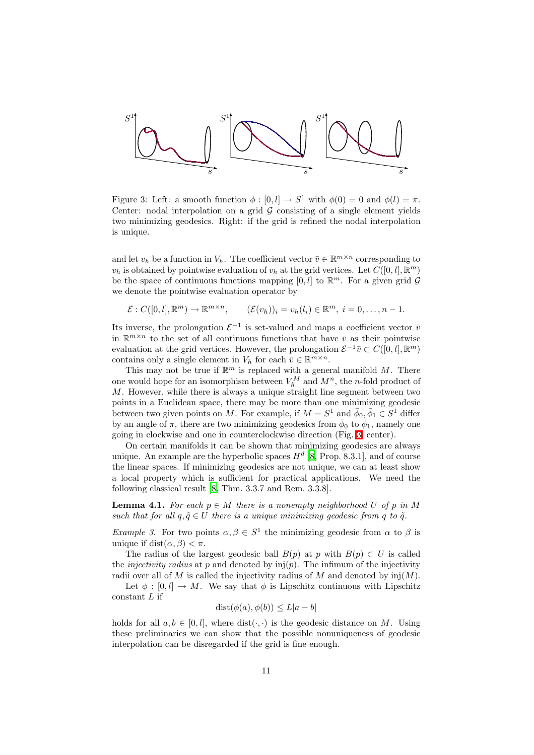

<span id="page-10-0"></span>Figure 3: Left: a smooth function  $\phi : [0, l] \to S^1$  with  $\phi(0) = 0$  and  $\phi(l) = \pi$ . Center: nodal interpolation on a grid  $G$  consisting of a single element yields two minimizing geodesics. Right: if the grid is refined the nodal interpolation is unique.

and let  $v_h$  be a function in  $V_h$ . The coefficient vector  $\bar{v} \in \mathbb{R}^{m \times n}$  corresponding to  $v_h$  is obtained by pointwise evaluation of  $v_h$  at the grid vertices. Let  $C([0, l], \mathbb{R}^m)$ be the space of continuous functions mapping  $[0, l]$  to  $\mathbb{R}^m$ . For a given grid  $\mathcal G$ we denote the pointwise evaluation operator by

$$
\mathcal{E}: C([0,l], \mathbb{R}^m) \to \mathbb{R}^{m \times n}, \qquad (\mathcal{E}(v_h))_i = v_h(l_i) \in \mathbb{R}^m, \ i = 0, \ldots, n-1.
$$

Its inverse, the prolongation  $\mathcal{E}^{-1}$  is set-valued and maps a coefficient vector  $\bar{v}$ in  $\mathbb{R}^{m \times n}$  to the set of all continuous functions that have  $\bar{v}$  as their pointwise evaluation at the grid vertices. However, the prolongation  $\mathcal{E}^{-1}\overline{v} \subset C([0, l], \mathbb{R}^m)$ contains only a single element in  $V_h$  for each  $\bar{v} \in \mathbb{R}^{m \times n}$ .

This may not be true if  $\mathbb{R}^m$  is replaced with a general manifold M. There one would hope for an isomorphism between  $V_h^M$  and  $M^n$ , the *n*-fold product of M. However, while there is always a unique straight line segment between two points in a Euclidean space, there may be more than one minimizing geodesic between two given points on M. For example, if  $M = S^1$  and  $\bar{\phi}_0, \bar{\phi}_1 \in S^1$  differ by an angle of  $\pi$ , there are two minimizing geodesics from  $\phi_0$  to  $\phi_1$ , namely one going in clockwise and one in counterclockwise direction (Fig. [3,](#page-10-0) center).

On certain manifolds it can be shown that minimizing geodesics are always unique. An example are the hyperbolic spaces  $H<sup>d</sup>$  [\[8](#page-24-3), Prop. 8.3.1], and of course the linear spaces. If minimizing geodesics are not unique, we can at least show a local property which is sufficient for practical applications. We need the following classical result [\[8,](#page-24-3) Thm. 3.3.7 and Rem. 3.3.8].

<span id="page-10-1"></span>**Lemma 4.1.** For each  $p \in M$  there is a nonempty neighborhood U of p in M *such that for all*  $q, \tilde{q} \in U$  *there is a unique minimizing geodesic from q to*  $\tilde{q}$ *.* 

*Example 3.* For two points  $\alpha, \beta \in S^1$  the minimizing geodesic from  $\alpha$  to  $\beta$  is unique if dist $(\alpha, \beta) < \pi$ .

The radius of the largest geodesic ball  $B(p)$  at p with  $B(p) \subset U$  is called the *injectivity radius* at  $p$  and denoted by  $\text{inj}(p)$ . The infimum of the injectivity radii over all of M is called the injectivity radius of M and denoted by  $\text{inj}(M)$ .

Let  $\phi : [0, l] \to M$ . We say that  $\phi$  is Lipschitz continuous with Lipschitz  $constant L$  if

$$
dist(\phi(a), \phi(b)) \le L|a - b|
$$

<span id="page-10-2"></span>holds for all  $a, b \in [0, l]$ , where  $dist(\cdot, \cdot)$  is the geodesic distance on M. Using these preliminaries we can show that the possible nonuniqueness of geodesic interpolation can be disregarded if the grid is fine enough.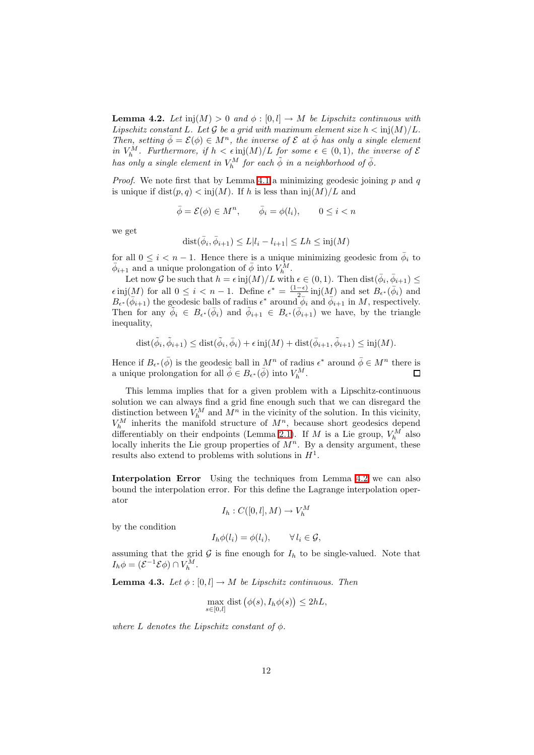**Lemma 4.2.** *Let*  $\text{inj}(M) > 0$  *and*  $\phi : [0, l] \rightarrow M$  *be Lipschitz continuous with Lipschitz constant* L. Let G be a grid with maximum element size  $h < \text{inj}(M)/L$ . *Then, setting*  $\bar{\phi} = \mathcal{E}(\phi) \in M^n$ , the inverse of  $\mathcal{E}$  at  $\bar{\phi}$  has only a single element *in*  $V_h^M$ . Furthermore, if  $h < \epsilon$  inj $(M)/L$  for some  $\epsilon \in (0,1)$ , the inverse of  $\mathcal E$ *has only a single element in*  $V_h^M$  *for each*  $\tilde{\phi}$  *in a neighborhood of*  $\bar{\phi}$ *.* 

*Proof.* We note first that by Lemma [4.1](#page-10-1) a minimizing geodesic joining  $p$  and  $q$ is unique if  $dist(p, q) < inj(M)$ . If h is less than  $inj(M)/L$  and

$$
\bar{\phi} = \mathcal{E}(\phi) \in M^n, \qquad \bar{\phi}_i = \phi(l_i), \qquad 0 \le i < n
$$

we get

$$
dist(\bar{\phi}_i, \bar{\phi}_{i+1}) \le L|l_i - l_{i+1}| \le Lh \le inj(M)
$$

for all  $0 \leq i < n-1$ . Hence there is a unique minimizing geodesic from  $\overline{\phi}_i$  to  $\bar{\phi}_{i+1}$  and a unique prolongation of  $\bar{\phi}$  into  $V_h^{\bar{M}}$ .

Let now G be such that  $h = \epsilon \operatorname{inj}(M)/L$  with  $\epsilon \in (0,1)$ . Then  $\operatorname{dist}(\bar{\phi}_i, \bar{\phi}_{i+1}) \leq$  $\epsilon$  inj(M) for all  $0 \leq i < n-1$ . Define  $\epsilon^* = \frac{(1-\epsilon)}{2}$  $\frac{-\epsilon)}{2}$  inj $(M)$  and set  $B_{\epsilon^*}(\bar{\phi}_i)$  and  $B_{\epsilon^*}(\bar{\phi}_{i+1})$  the geodesic balls of radius  $\epsilon^*$  around  $\bar{\phi}_i$  and  $\bar{\phi}_{i+1}$  in M, respectively. Then for any  $\phi_i \in B_{\epsilon^*}(\bar{\phi}_i)$  and  $\tilde{\phi}_{i+1} \in B_{\epsilon^*}(\bar{\phi}_{i+1})$  we have, by the triangle inequality,

$$
\text{dist}(\tilde{\phi}_i, \tilde{\phi}_{i+1}) \le \text{dist}(\tilde{\phi}_i, \bar{\phi}_i) + \epsilon \operatorname{inj}(M) + \text{dist}(\bar{\phi}_{i+1}, \tilde{\phi}_{i+1}) \le \operatorname{inj}(M).
$$

Hence if  $B_{\epsilon^*}(\bar{\phi})$  is the geodesic ball in  $M^n$  of radius  $\epsilon^*$  around  $\bar{\phi} \in M^n$  there is a unique prolongation for all  $\tilde{\phi} \in B_{\epsilon^*}(\bar{\phi})$  into  $V_h^M$ . П

This lemma implies that for a given problem with a Lipschitz-continuous solution we can always find a grid fine enough such that we can disregard the distinction between  $V_h^M$  and  $M^n$  in the vicinity of the solution. In this vicinity,  $V_h^M$  inherits the manifold structure of  $M^n$ , because short geodesics depend differentiably on their endpoints (Lemma [2.1\)](#page-3-2). If M is a Lie group,  $V_h^M$  also locally inherits the Lie group properties of  $M<sup>n</sup>$ . By a density argument, these results also extend to problems with solutions in  $H<sup>1</sup>$ .

Interpolation Error Using the techniques from Lemma [4.2](#page-10-2) we can also bound the interpolation error. For this define the Lagrange interpolation operator

$$
I_h: C([0,l],M) \to V_h^M
$$

by the condition

$$
I_h \phi(l_i) = \phi(l_i), \qquad \forall \, l_i \in \mathcal{G},
$$

assuming that the grid  $\mathcal G$  is fine enough for  $I_h$  to be single-valued. Note that  $I_h \phi = (\mathcal{E}^{-1} \mathcal{E} \phi) \cap V_h^M.$ 

**Lemma 4.3.** *Let*  $\phi : [0, l] \rightarrow M$  *be Lipschitz continuous. Then* 

$$
\max_{s \in [0,l]} \text{dist}(\phi(s), I_h \phi(s)) \le 2h.
$$

*where*  $L$  *denotes the Lipschitz constant of*  $\phi$ *.*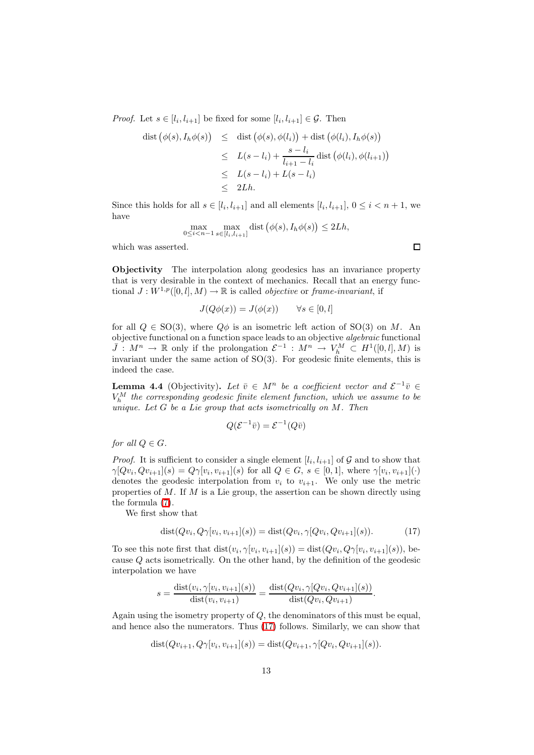*Proof.* Let  $s \in [l_i, l_{i+1}]$  be fixed for some  $[l_i, l_{i+1}] \in \mathcal{G}$ . Then

$$
\begin{array}{rcl}\n\text{dist} \left( \phi(s), I_h \phi(s) \right) & \leq & \text{dist} \left( \phi(s), \phi(l_i) \right) + \text{dist} \left( \phi(l_i), I_h \phi(s) \right) \\
& \leq & L(s - l_i) + \frac{s - l_i}{l_{i+1} - l_i} \text{dist} \left( \phi(l_i), \phi(l_{i+1}) \right) \\
& \leq & L(s - l_i) + L(s - l_i) \\
& \leq & 2Lh.\n\end{array}
$$

Since this holds for all  $s \in [l_i, l_{i+1}]$  and all elements  $[l_i, l_{i+1}], 0 \le i < n+1$ , we have

$$
\max_{0 \le i < n-1} \max_{s \in [l_i, l_{i+1}]} \text{dist}\left(\phi(s), I_h \phi(s)\right) \le 2Lh,
$$

which was asserted.

Objectivity The interpolation along geodesics has an invariance property that is very desirable in the context of mechanics. Recall that an energy functional  $J: W^{1,p}([0, l], M) \to \mathbb{R}$  is called *objective* or *frame-invariant*, if

$$
J(Q\phi(x)) = J(\phi(x)) \qquad \forall s \in [0, l]
$$

for all  $Q \in SO(3)$ , where  $Q\phi$  is an isometric left action of  $SO(3)$  on M. An objective functional on a function space leads to an objective *algebraic* functional  $\bar{J}: M^n \to \mathbb{R}$  only if the prolongation  $\mathcal{E}^{-1}: M^n \to V_h^M \subset H^1([0,l],M)$  is invariant under the same action of SO(3). For geodesic finite elements, this is indeed the case.

**Lemma 4.4** (Objectivity). Let  $\bar{v} \in M^n$  be a coefficient vector and  $\mathcal{E}^{-1}\bar{v} \in$  $V_h^M$  the corresponding geodesic finite element function, which we assume to be *unique. Let* G *be a Lie group that acts isometrically on* M*. Then*

$$
Q(\mathcal{E}^{-1}\bar{v}) = \mathcal{E}^{-1}(Q\bar{v})
$$

*for all*  $Q \in G$ *.* 

*Proof.* It is sufficient to consider a single element  $[l_i, l_{i+1}]$  of G and to show that  $\gamma[Qv_i, Qv_{i+1}](s) = Q\gamma[v_i, v_{i+1}](s)$  for all  $Q \in G$ ,  $s \in [0, 1]$ , where  $\gamma[v_i, v_{i+1}](\cdot)$ denotes the geodesic interpolation from  $v_i$  to  $v_{i+1}$ . We only use the metric properties of  $M$ . If  $M$  is a Lie group, the assertion can be shown directly using the formula [\(7\)](#page-4-1).

We first show that

$$
dist(Qv_i, Q\gamma[v_i, v_{i+1}](s)) = dist(Qv_i, \gamma[Qv_i, Qv_{i+1}](s)).
$$
\n(17)

<span id="page-12-0"></span>To see this note first that  $dist(v_i, \gamma[v_i, v_{i+1}](s)) = dist(Qv_i, Q\gamma[v_i, v_{i+1}](s))$ , because Q acts isometrically. On the other hand, by the definition of the geodesic interpolation we have

$$
s = \frac{\text{dist}(v_i, \gamma[v_i, v_{i+1}](s))}{\text{dist}(v_i, v_{i+1})} = \frac{\text{dist}(Qv_i, \gamma[Qv_i, Qv_{i+1}](s))}{\text{dist}(Qv_i, Qv_{i+1})}.
$$

Again using the isometry property of  $Q$ , the denominators of this must be equal, and hence also the numerators. Thus [\(17\)](#page-12-0) follows. Similarly, we can show that

$$
dist(Qv_{i+1}, Q\gamma[v_i, v_{i+1}](s)) = dist(Qv_{i+1}, \gamma[Qv_i, Qv_{i+1}](s)).
$$

 $\Box$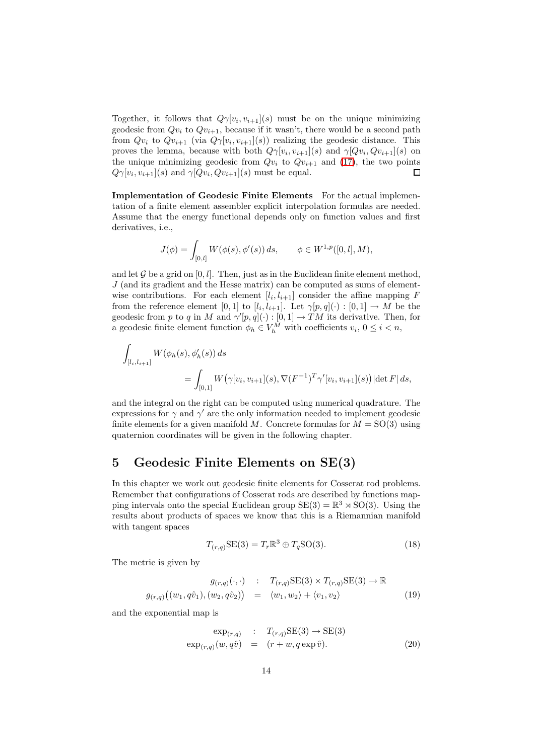Together, it follows that  $Q_{\gamma}[v_i, v_{i+1}](s)$  must be on the unique minimizing geodesic from  $Qv_i$  to  $Qv_{i+1}$ , because if it wasn't, there would be a second path from  $Qv_i$  to  $Qv_{i+1}$  (via  $Q\gamma[v_i, v_{i+1}](s)$ ) realizing the geodesic distance. This proves the lemma, because with both  $Q_{\gamma}[v_i, v_{i+1}](s)$  and  $\gamma[Qv_i, Qv_{i+1}](s)$  on the unique minimizing geodesic from  $Qv_i$  to  $Qv_{i+1}$  and [\(17\)](#page-12-0), the two points  $Q\gamma[v_i, v_{i+1}](s)$  and  $\gamma[Qv_i, Qv_{i+1}](s)$  must be equal. Г

Implementation of Geodesic Finite Elements For the actual implementation of a finite element assembler explicit interpolation formulas are needed. Assume that the energy functional depends only on function values and first derivatives, i.e.,

$$
J(\phi) = \int_{[0,l]} W(\phi(s), \phi'(s)) ds, \qquad \phi \in W^{1,p}([0,l], M),
$$

and let  $\mathcal G$  be a grid on  $[0, l]$ . Then, just as in the Euclidean finite element method,  $J$  (and its gradient and the Hesse matrix) can be computed as sums of elementwise contributions. For each element  $[l_i, l_{i+1}]$  consider the affine mapping F from the reference element [0, 1] to  $[l_i, l_{i+1}]$ . Let  $\gamma[p, q](\cdot) : [0, 1] \to M$  be the geodesic from p to q in M and  $\gamma'[p,q](\cdot) : [0,1] \to TM$  its derivative. Then, for a geodesic finite element function  $\phi_h \in V_h^M$  with coefficients  $v_i, 0 \le i < n$ ,

$$
\int_{[l_i, l_{i+1}]} W(\phi_h(s), \phi'_h(s)) ds
$$
\n
$$
= \int_{[0,1]} W(\gamma[v_i, v_{i+1}](s), \nabla (F^{-1})^T \gamma'[v_i, v_{i+1}](s)) |\det F| ds,
$$

and the integral on the right can be computed using numerical quadrature. The expressions for  $\gamma$  and  $\gamma'$  are the only information needed to implement geodesic finite elements for a given manifold M. Concrete formulas for  $M = SO(3)$  using quaternion coordinates will be given in the following chapter.

#### <span id="page-13-0"></span>5 Geodesic Finite Elements on SE(3)

In this chapter we work out geodesic finite elements for Cosserat rod problems. Remember that configurations of Cosserat rods are described by functions mapping intervals onto the special Euclidean group  $SE(3) = \mathbb{R}^3 \rtimes SO(3)$ . Using the results about products of spaces we know that this is a Riemannian manifold with tangent spaces

$$
T_{(r,q)}\text{SE}(3) = T_r \mathbb{R}^3 \oplus T_q \text{SO}(3). \tag{18}
$$

<span id="page-13-2"></span>The metric is given by

<span id="page-13-3"></span>
$$
g_{(r,q)}(\cdot, \cdot) : T_{(r,q)}SE(3) \times T_{(r,q)}SE(3) \to \mathbb{R}
$$
  

$$
g_{(r,q)}((w_1, q\hat{v}_1), (w_2, q\hat{v}_2)) = \langle w_1, w_2 \rangle + \langle v_1, v_2 \rangle
$$
 (19)

and the exponential map is

<span id="page-13-1"></span>
$$
\exp_{(r,q)} : T_{(r,q)} \text{SE}(3) \to \text{SE}(3)
$$
  

$$
\exp_{(r,q)}(w,q\hat{v}) = (r+w,q\exp\hat{v}).
$$
 (20)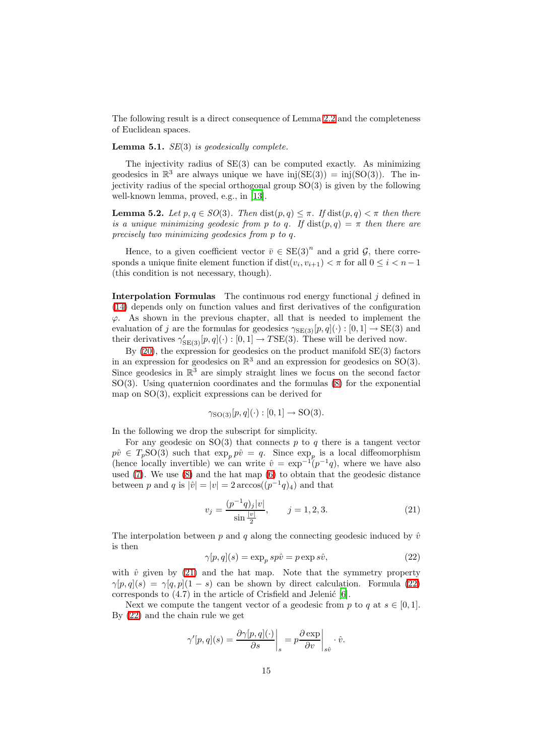The following result is a direct consequence of Lemma [2.2](#page-3-3) and the completeness of Euclidean spaces.

#### Lemma 5.1. *SE*(3) *is geodesically complete.*

The injectivity radius of SE(3) can be computed exactly. As minimizing geodesics in  $\mathbb{R}^3$  are always unique we have inj(SE(3)) = inj(SO(3)). The injectivity radius of the special orthogonal group SO(3) is given by the following well-known lemma, proved, e.g., in [\[13\]](#page-24-4).

**Lemma 5.2.** *Let*  $p, q \in SO(3)$ *. Then* dist $(p, q) \leq \pi$ *. If* dist $(p, q) \leq \pi$  *then there is a unique minimizing geodesic from p to q.* If  $dist(p,q) = \pi$  *then there are precisely two minimizing geodesics from* p *to* q*.*

Hence, to a given coefficient vector  $\bar{v} \in \text{SE(3)}^n$  and a grid  $\mathcal{G}$ , there corresponds a unique finite element function if  $dist(v_i, v_{i+1}) < \pi$  for all  $0 \le i < n-1$ (this condition is not necessary, though).

**Interpolation Formulas** The continuous rod energy functional  $j$  defined in [\(14\)](#page-7-0) depends only on function values and first derivatives of the configuration  $\varphi$ . As shown in the previous chapter, all that is needed to implement the evaluation of j are the formulas for geodesics  $\gamma_{SE(3)}[p, q](\cdot) : [0, 1] \rightarrow SE(3)$  and their derivatives  $\gamma'_{\text{SE}(3)}[p, q](\cdot) : [0, 1] \to T\text{SE}(3)$ . These will be derived now.

By  $(20)$ , the expression for geodesics on the product manifold  $SE(3)$  factors in an expression for geodesics on  $\mathbb{R}^3$  and an expression for geodesics on SO(3). Since geodesics in  $\mathbb{R}^3$  are simply straight lines we focus on the second factor SO(3). Using quaternion coordinates and the formulas [\(8\)](#page-5-2) for the exponential map on  $SO(3)$ , explicit expressions can be derived for

$$
\gamma_{\text{SO}(3)}[p,q](\cdot):[0,1]\to\text{SO}(3).
$$

In the following we drop the subscript for simplicity.

For any geodesic on  $SO(3)$  that connects p to q there is a tangent vector  $p\hat{v} \in T_p\text{SO}(3)$  such that  $\exp_p p\hat{v} = q$ . Since  $\exp_p$  is a local diffeomorphism (hence locally invertible) we can write  $\hat{v} = \exp^{-1}(p^{-1}q)$ , where we have also used [\(7\)](#page-4-1). We use [\(8\)](#page-5-2) and the hat map [\(6\)](#page-4-0) to obtain that the geodesic distance between p and q is  $|\hat{v}| = |v| = 2 \arccos((p^{-1}q)_4)$  and that

$$
v_j = \frac{(p^{-1}q)_j|v|}{\sin\frac{|v|}{2}}, \qquad j = 1, 2, 3.
$$
 (21)

<span id="page-14-0"></span>The interpolation between p and q along the connecting geodesic induced by  $\hat{v}$ is then

$$
\gamma[p, q](s) = \exp_p sp\hat{v} = p \exp s\hat{v},\tag{22}
$$

<span id="page-14-1"></span>with  $\hat{v}$  given by [\(21\)](#page-14-0) and the hat map. Note that the symmetry property  $\gamma[p,q](s) = \gamma[q,p](1-s)$  can be shown by direct calculation. Formula [\(22\)](#page-14-1) corresponds to  $(4.7)$  in the article of Crisfield and Jelenić [\[6](#page-24-0)].

Next we compute the tangent vector of a geodesic from p to q at  $s \in [0, 1]$ . By [\(22\)](#page-14-1) and the chain rule we get

$$
\gamma'[p,q](s) = \frac{\partial \gamma[p,q](\cdot)}{\partial s}\bigg|_s = p \frac{\partial \exp}{\partial v}\bigg|_{s \hat{v}} \cdot \hat{v}.
$$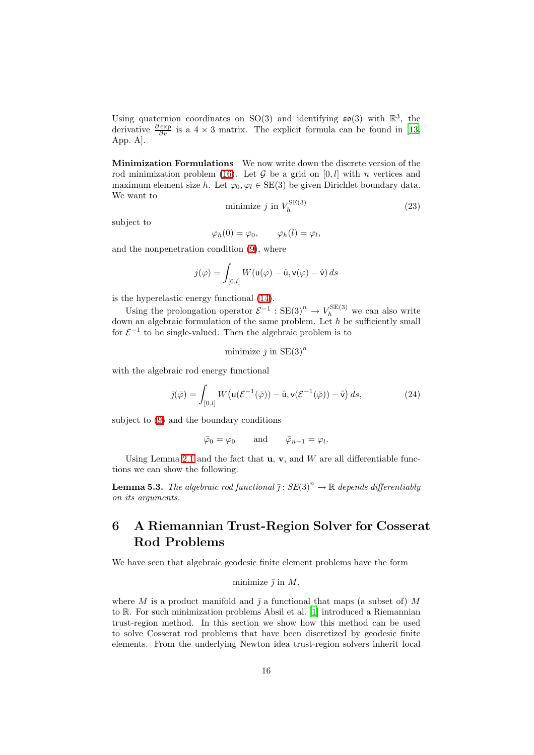Using quaternion coordinates on SO(3) and identifying  $\mathfrak{so}(3)$  with  $\mathbb{R}^3$ , the derivative  $\frac{\partial \exp}{\partial v}$  is a 4 × 3 matrix. The explicit formula can be found in [\[13,](#page-24-4) App. A].

Minimization Formulations We now write down the discrete version of the rod minimization problem [\(16\)](#page-8-3). Let  $\mathcal G$  be a grid on  $[0, l]$  with n vertices and maximum element size h. Let  $\varphi_0, \varphi_l \in \text{SE}(3)$  be given Dirichlet boundary data. We want to

$$
\text{minimize } j \text{ in } V_h^{\text{SE}(3)} \tag{23}
$$

<span id="page-15-1"></span>subject to

$$
\varphi_h(0) = \varphi_0, \qquad \varphi_h(l) = \varphi_l,
$$

and the nonpenetration condition [\(9\)](#page-6-0), where

$$
j(\varphi) = \int_{[0,l]} W(\mathsf{u}(\varphi) - \hat{\mathsf{u}}, \mathsf{v}(\varphi) - \hat{\mathsf{v}}) ds
$$

is the hyperelastic energy functional [\(14\)](#page-7-0).

Using the prolongation operator  $\mathcal{E}^{-1}$ :  $SE(3)^n \to V_h^{SE(3)}$  we can also write down an algebraic formulation of the same problem. Let  $h$  be sufficiently small for  $\mathcal{E}^{-1}$  to be single-valued. Then the algebraic problem is to

minimize 
$$
\bar{j}
$$
 in  $SE(3)^n$ 

<span id="page-15-2"></span>with the algebraic rod energy functional

$$
\bar{\jmath}(\bar{\varphi}) = \int_{[0,l]} W\big(u(\mathcal{E}^{-1}(\bar{\varphi})) - \hat{u}, v(\mathcal{E}^{-1}(\bar{\varphi})) - \hat{v}\big) ds,
$$
\n(24)

subject to [\(9\)](#page-6-0) and the boundary conditions

$$
\bar{\varphi}_0 = \varphi_0
$$
 and  $\bar{\varphi}_{n-1} = \varphi_l$ .

Using Lemma [2.1](#page-3-2) and the fact that  $\mathbf{u}, \mathbf{v}$ , and W are all differentiable functions we can show the following.

**Lemma 5.3.** *The algebraic rod functional*  $\overline{j}$  :  $SE(3)^n \rightarrow \mathbb{R}$  *depends differentiably on its arguments.*

# <span id="page-15-0"></span>6 A Riemannian Trust-Region Solver for Cosserat Rod Problems

We have seen that algebraic geodesic finite element problems have the form

minimize  $\bar{\jmath}$  in  $M$ ,

where M is a product manifold and  $\overline{j}$  a functional that maps (a subset of) M to R. For such minimization problems Absil et al. [\[1\]](#page-24-1) introduced a Riemannian trust-region method. In this section we show how this method can be used to solve Cosserat rod problems that have been discretized by geodesic finite elements. From the underlying Newton idea trust-region solvers inherit local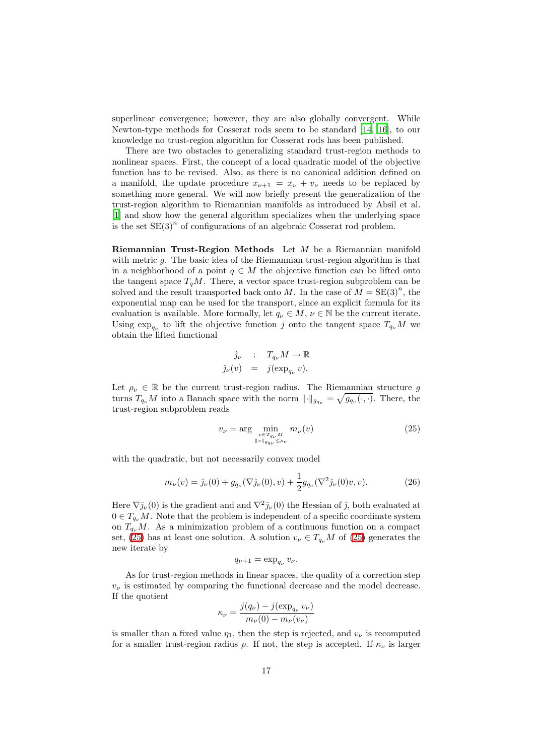superlinear convergence; however, they are also globally convergent. While Newton-type methods for Cosserat rods seem to be standard [\[14](#page-24-2), [16](#page-25-0)], to our knowledge no trust-region algorithm for Cosserat rods has been published.

There are two obstacles to generalizing standard trust-region methods to nonlinear spaces. First, the concept of a local quadratic model of the objective function has to be revised. Also, as there is no canonical addition defined on a manifold, the update procedure  $x_{\nu+1} = x_{\nu} + v_{\nu}$  needs to be replaced by something more general. We will now briefly present the generalization of the trust-region algorithm to Riemannian manifolds as introduced by Absil et al. [\[1\]](#page-24-1) and show how the general algorithm specializes when the underlying space is the set  $SE(3)^n$  of configurations of an algebraic Cosserat rod problem.

Riemannian Trust-Region Methods Let M be a Riemannian manifold with metric  $q$ . The basic idea of the Riemannian trust-region algorithm is that in a neighborhood of a point  $q \in M$  the objective function can be lifted onto the tangent space  $T_qM$ . There, a vector space trust-region subproblem can be solved and the result transported back onto M. In the case of  $M = SE(3)^n$ , the exponential map can be used for the transport, since an explicit formula for its evaluation is available. More formally, let  $q_{\nu} \in M$ ,  $\nu \in \mathbb{N}$  be the current iterate. Using  $\exp_{q_{\nu}}$  to lift the objective function j onto the tangent space  $T_{q_{\nu}}M$  we obtain the lifted functional

$$
\hat{j}_{\nu} : T_{q_{\nu}} M \to \mathbb{R}
$$
  

$$
\hat{j}_{\nu}(v) = j(\exp_{q_{\nu}} v).
$$

Let  $\rho_{\nu} \in \mathbb{R}$  be the current trust-region radius. The Riemannian structure g turns  $T_{q_{\nu}}M$  into a Banach space with the norm  $\|\cdot\|_{g_{q_{\nu}}} = \sqrt{g_{q_{\nu}}(\cdot,\cdot)}$ . There, the trust-region subproblem reads

$$
v_{\nu} = \arg\min_{\substack{v \in T_{q_{\nu}}M \\ \|v\|_{g_{q_{\nu}}} \leq \rho_{\nu}}} m_{\nu}(v) \tag{25}
$$

<span id="page-16-1"></span>with the quadratic, but not necessarily convex model

<span id="page-16-0"></span>
$$
m_{\nu}(v) = \hat{\jmath}_{\nu}(0) + g_{q_{\nu}}(\nabla \hat{\jmath}_{\nu}(0), v) + \frac{1}{2}g_{q_{\nu}}(\nabla^2 \hat{\jmath}_{\nu}(0)v, v).
$$
 (26)

Here  $\nabla \hat{j}_{\nu}(0)$  is the gradient and and  $\nabla^2 \hat{j}_{\nu}(0)$  the Hessian of  $\hat{j}$ , both evaluated at  $0 \in T_{q_{\nu}}M$ . Note that the problem is independent of a specific coordinate system on  $T_{q_{\nu}}M$ . As a minimization problem of a continuous function on a compact set, [\(25\)](#page-16-0) has at least one solution. A solution  $v_{\nu} \in T_{q_{\nu}}M$  of (25) generates the new iterate by

$$
q_{\nu+1} = \exp_{q_{\nu}} v_{\nu}.
$$

As for trust-region methods in linear spaces, the quality of a correction step  $v_{\nu}$  is estimated by comparing the functional decrease and the model decrease. If the quotient

$$
\kappa_{\nu} = \frac{j(q_{\nu}) - j(\exp_{q_{\nu}} v_{\nu})}{m_{\nu}(0) - m_{\nu}(v_{\nu})}
$$

is smaller than a fixed value  $\eta_1$ , then the step is rejected, and  $v_\nu$  is recomputed for a smaller trust-region radius  $\rho$ . If not, the step is accepted. If  $\kappa_{\nu}$  is larger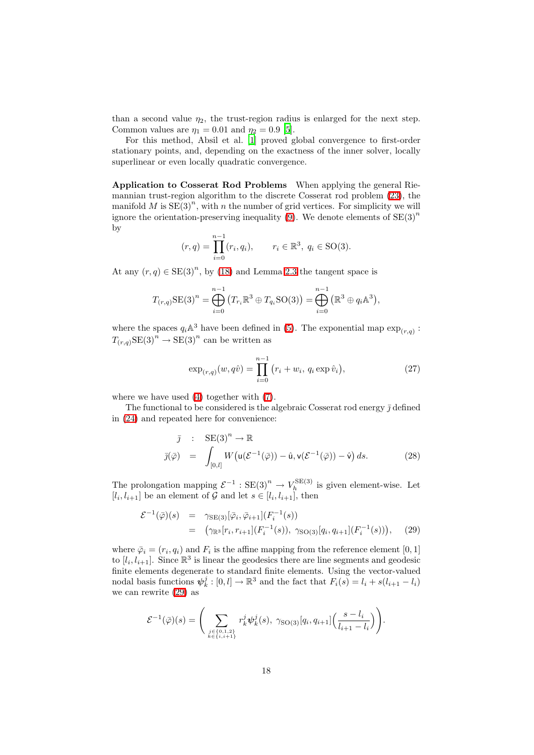than a second value  $\eta_2$ , the trust-region radius is enlarged for the next step. Common values are  $\eta_1 = 0.01$  and  $\eta_2 = 0.9$  [\[5](#page-24-11)].

For this method, Absil et al. [\[1](#page-24-1)] proved global convergence to first-order stationary points, and, depending on the exactness of the inner solver, locally superlinear or even locally quadratic convergence.

Application to Cosserat Rod Problems When applying the general Riemannian trust-region algorithm to the discrete Cosserat rod problem [\(23\)](#page-15-1), the manifold M is  $SE(3)^n$ , with n the number of grid vertices. For simplicity we will ignore the orientation-preserving inequality [\(9\)](#page-6-0). We denote elements of  $SE(3)^n$ by

$$
(r, q) = \prod_{i=0}^{n-1} (r_i, q_i), \qquad r_i \in \mathbb{R}^3, q_i \in SO(3).
$$

At any  $(r, q) \in \text{SE}(3)^n$ , by [\(18\)](#page-13-2) and Lemma [2.3](#page-3-0) the tangent space is

$$
T_{(r,q)}\text{SE}(3)^n = \bigoplus_{i=0}^{n-1} (T_{r_i}\mathbb{R}^3 \oplus T_{q_i}\text{SO}(3)) = \bigoplus_{i=0}^{n-1} (\mathbb{R}^3 \oplus q_i\mathbb{A}^3),
$$

where the spaces  $q_i \mathbb{A}^3$  have been defined in [\(5\)](#page-3-4). The exponential map  $\exp_{(r,q)}$ :  $T_{(r,q)}\text{SE}(3)^n \to \text{SE}(3)^n$  can be written as

$$
\exp_{(r,q)}(w,q\hat{v}) = \prod_{i=0}^{n-1} (r_i + w_i, q_i \exp \hat{v}_i), \qquad (27)
$$

<span id="page-17-1"></span>where we have used [\(4\)](#page-3-1) together with [\(7\)](#page-4-1).

<span id="page-17-2"></span>The functional to be considered is the algebraic Cosserat rod energy  $\bar{\jmath}$  defined in [\(24\)](#page-15-2) and repeated here for convenience:

$$
\bar{\jmath} : \operatorname{SE}(3)^n \to \mathbb{R}
$$
  

$$
\bar{\jmath}(\bar{\varphi}) = \int_{[0,l]} W(u(\mathcal{E}^{-1}(\bar{\varphi})) - \hat{u}, v(\mathcal{E}^{-1}(\bar{\varphi})) - \hat{v}) ds.
$$
 (28)

<span id="page-17-0"></span>The prolongation mapping  $\mathcal{E}^{-1}$ :  $SE(3)^n \rightarrow V_h^{SE(3)}$  $\sum_{h}$  is given element-wise. Let  $[l_i, l_{i+1}]$  be an element of  $G$  and let  $s \in [l_i, l_{i+1}]$ , then

$$
\mathcal{E}^{-1}(\bar{\varphi})(s) = \gamma_{\text{SE}(3)}[\bar{\varphi}_i, \bar{\varphi}_{i+1}](F_i^{-1}(s)) \n= (\gamma_{\mathbb{R}^3}[r_i, r_{i+1}](F_i^{-1}(s)), \gamma_{\text{SO}(3)}[q_i, q_{i+1}](F_i^{-1}(s))),
$$
\n(29)

where  $\bar{\varphi}_i = (r_i, q_i)$  and  $F_i$  is the affine mapping from the reference element [0, 1] to  $[l_i, l_{i+1}]$ . Since  $\mathbb{R}^3$  is linear the geodesics there are line segments and geodesic finite elements degenerate to standard finite elements. Using the vector-valued nodal basis functions  $\psi_k^j : [0, l] \to \mathbb{R}^3$  and the fact that  $F_i(s) = l_i + s(l_{i+1} - l_i)$ we can rewrite [\(29\)](#page-17-0) as

$$
\mathcal{E}^{-1}(\bar{\varphi})(s) = \Bigg(\sum_{\substack{j \in \{0,1,2\} \\ k \in \{i,i+1\}}} r_k^j \psi_k^j(s), \ \gamma_{\text{SO}(3)}[q_i, q_{i+1}] \Big(\frac{s - l_i}{l_{i+1} - l_i}\Big)\Bigg).
$$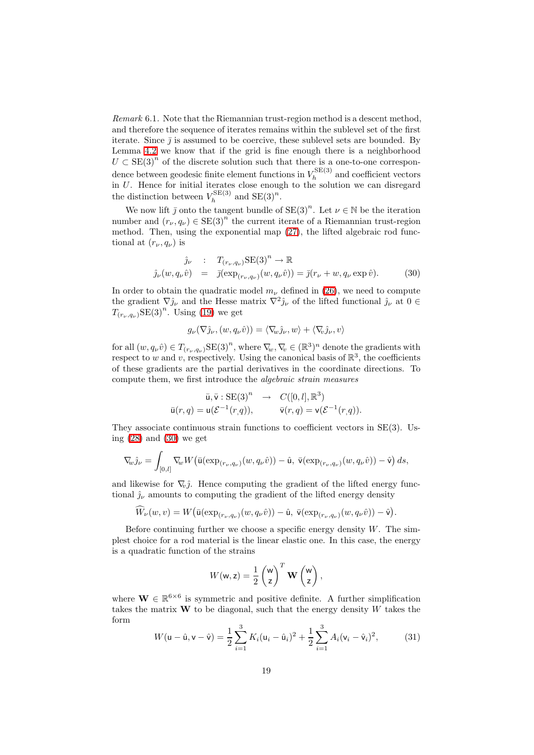*Remark* 6.1*.* Note that the Riemannian trust-region method is a descent method, and therefore the sequence of iterates remains within the sublevel set of the first iterate. Since  $\bar{\jmath}$  is assumed to be coercive, these sublevel sets are bounded. By Lemma [4.2](#page-10-2) we know that if the grid is fine enough there is a neighborhood  $U \subset \text{SE}(3)^n$  of the discrete solution such that there is a one-to-one correspondence between geodesic finite element functions in  $V_h^{\text{SE}(3)}$  $h_h^{\text{SLE}}$  and coefficient vectors in U. Hence for initial iterates close enough to the solution we can disregard the distinction between  $V_h^{\text{SE}(3)}$  $h_h^{\text{SE}(3)}$  and  $\text{SE}(3)^n$ .

We now lift  $\bar{j}$  onto the tangent bundle of  $SE(3)^n$ . Let  $\nu \in \mathbb{N}$  be the iteration number and  $(r_{\nu}, q_{\nu}) \in SE(3)^{n}$  the current iterate of a Riemannian trust-region method. Then, using the exponential map [\(27\)](#page-17-1), the lifted algebraic rod functional at  $(r_{\nu}, q_{\nu})$  is

<span id="page-18-0"></span>
$$
\hat{j}_{\nu} : T_{(r_{\nu}, q_{\nu})} \text{SE}(3)^{n} \to \mathbb{R}
$$
\n
$$
\hat{j}_{\nu}(w, q_{\nu}\hat{v}) = \bar{j}(\exp_{(r_{\nu}, q_{\nu})}(w, q_{\nu}\hat{v})) = \bar{j}(r_{\nu} + w, q_{\nu} \exp \hat{v}).
$$
\n(30)

In order to obtain the quadratic model  $m_{\nu}$  defined in [\(26\)](#page-16-1), we need to compute the gradient  $\nabla \hat{j}_{\nu}$  and the Hesse matrix  $\nabla^2 \hat{j}_{\nu}$  of the lifted functional  $\hat{j}_{\nu}$  at  $0 \in$  $T_{(r_{\nu}, q_{\nu})} \text{SE(3)}^{n}$ . Using [\(19\)](#page-13-3) we get

$$
g_{\nu}(\nabla \hat{j}_{\nu},(w,q_{\nu}\hat{v})) = \langle \nabla_{\!\! w} \hat{j}_{\nu},w \rangle + \langle \nabla_{\!\! v} \hat{j}_{\nu},v \rangle
$$

for all  $(w, q_{\nu}\hat{v}) \in T_{(r_{\nu}, q_{\nu})} \text{SE(3)}^n$ , where  $\nabla_{\!w}, \nabla_{\!v} \in (\mathbb{R}^3)^n$  denote the gradients with respect to w and v, respectively. Using the canonical basis of  $\mathbb{R}^3$ , the coefficients of these gradients are the partial derivatives in the coordinate directions. To compute them, we first introduce the *algebraic strain measures*

$$
\overline{\mathbf{u}}, \overline{\mathbf{v}} : \mathrm{SE}(3)^n \rightarrow C([0, l], \mathbb{R}^3)
$$

$$
\overline{\mathbf{u}}(r, q) = \mathbf{u}(\mathcal{E}^{-1}(r, q)), \qquad \overline{\mathbf{v}}(r, q) = \mathbf{v}(\mathcal{E}^{-1}(r, q)).
$$

They associate continuous strain functions to coefficient vectors in SE(3). Using  $(28)$  and  $(30)$  we get

$$
\nabla_{\!\! w} \hat{\jmath}_{\nu} = \int_{[0,l]} \nabla_{\!\! w} W\big(\bar{\mathsf{u}}(\exp_{(r_{\nu},q_{\nu})}(w,q_{\nu}\hat{v})) - \hat{\mathsf{u}}, \bar{\mathsf{v}}(\exp_{(r_{\nu},q_{\nu})}(w,q_{\nu}\hat{v})) - \hat{\mathsf{v}}\big) ds,
$$

and likewise for  $\nabla_{\!v}\hat{j}$ . Hence computing the gradient of the lifted energy functional  $\hat{j}_{\nu}$  amounts to computing the gradient of the lifted energy density

$$
\widehat{W}_{\nu}(w,v)=W\big(\bar{\mathsf{u}}(\exp_{(r_{\nu},q_{\nu})}(w,q_{\nu}\hat{v}))-\hat{\mathsf{u}},\,\bar{\mathsf{v}}(\exp_{(r_{\nu},q_{\nu})}(w,q_{\nu}\hat{v}))-\hat{\mathsf{v}}\big).
$$

Before continuing further we choose a specific energy density  $W$ . The simplest choice for a rod material is the linear elastic one. In this case, the energy is a quadratic function of the strains

$$
W(\mathsf{w},\mathsf{z})=\frac{1}{2}\begin{pmatrix}\mathsf{w}\\ \mathsf{z}\end{pmatrix}^T\mathbf{W}\begin{pmatrix}\mathsf{w}\\ \mathsf{z}\end{pmatrix},
$$

<span id="page-18-1"></span>where  $\mathbf{W} \in \mathbb{R}^{6 \times 6}$  is symmetric and positive definite. A further simplification takes the matrix  $W$  to be diagonal, such that the energy density  $W$  takes the form

$$
W(\mathbf{u} - \hat{\mathbf{u}}, \mathbf{v} - \hat{\mathbf{v}}) = \frac{1}{2} \sum_{i=1}^{3} K_i (\mathbf{u}_i - \hat{\mathbf{u}}_i)^2 + \frac{1}{2} \sum_{i=1}^{3} A_i (\mathbf{v}_i - \hat{\mathbf{v}}_i)^2, \tag{31}
$$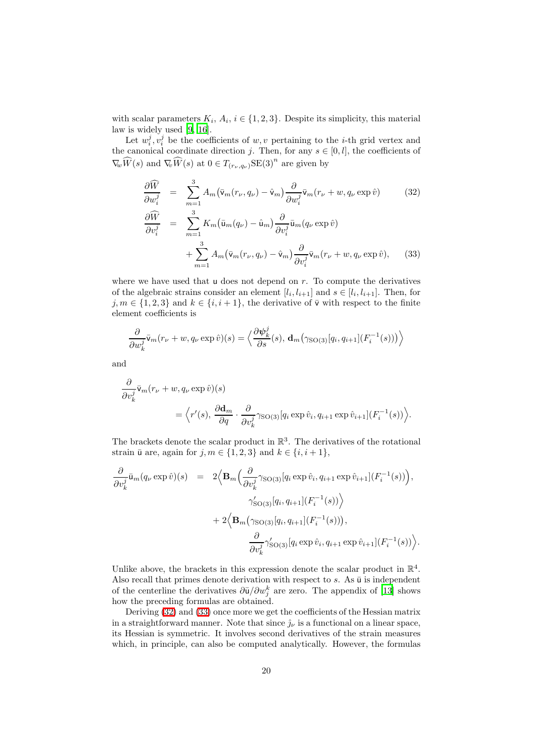with scalar parameters  $K_i$ ,  $A_i$ ,  $i \in \{1, 2, 3\}$ . Despite its simplicity, this material law is widely used [\[9,](#page-24-7) [16\]](#page-25-0).

<span id="page-19-0"></span>Let  $w_i^j, v_i^j$  be the coefficients of  $w, v$  pertaining to the *i*-th grid vertex and the canonical coordinate direction j. Then, for any  $s \in [0, l]$ , the coefficients of  $\nabla_{\!w} \widehat{W}(s)$  and  $\nabla_{\!v} \widehat{W}(s)$  at  $0 \in T_{(r_{\nu}, q_{\nu})} \text{SE}(3)^n$  are given by

$$
\frac{\partial \widehat{W}}{\partial w_i^j} = \sum_{m=1}^3 A_m (\bar{v}_m(r_\nu, q_\nu) - \hat{v}_m) \frac{\partial}{\partial w_i^j} \bar{v}_m(r_\nu + w, q_\nu \exp \hat{v})
$$
(32)  

$$
\frac{\partial \widehat{W}}{\partial v_i^j} = \sum_{m=1}^3 K_m (\bar{u}_m(q_\nu) - \hat{u}_m) \frac{\partial}{\partial v_i^j} \bar{u}_m(q_\nu \exp \hat{v})
$$

$$
+ \sum_{m=1}^3 A_m (\bar{v}_m(r_\nu, q_\nu) - \hat{v}_m) \frac{\partial}{\partial v_i^j} \bar{v}_m(r_\nu + w, q_\nu \exp \hat{v}),
$$
(33)

where we have used that  $\mu$  does not depend on r. To compute the derivatives of the algebraic strains consider an element  $[l_i, l_{i+1}]$  and  $s \in [l_i, l_{i+1}]$ . Then, for  $j, m \in \{1, 2, 3\}$  and  $k \in \{i, i + 1\}$ , the derivative of  $\overline{\mathsf{v}}$  with respect to the finite element coefficients is

$$
\frac{\partial}{\partial w_k^j} \bar{\mathbf{v}}_m(r_{\nu} + w, q_{\nu} \exp \hat{v})(s) = \left\langle \frac{\partial \psi_k^j}{\partial s}(s), \mathbf{d}_m(\gamma_{\text{SO}(3)}[q_i, q_{i+1}](F_i^{-1}(s))) \right\rangle
$$

and

$$
\frac{\partial}{\partial v_k^j} \bar{\mathbf{v}}_m(r_{\nu} + w, q_{\nu} \exp \hat{v})(s)
$$
  
=  $\langle r'(s), \frac{\partial \mathbf{d}_m}{\partial q} \cdot \frac{\partial}{\partial v_k^j} \gamma_{\text{SO}(3)}[q_i \exp \hat{v}_i, q_{i+1} \exp \hat{v}_{i+1}](F_i^{-1}(s)) \rangle.$ 

The brackets denote the scalar product in  $\mathbb{R}^3$ . The derivatives of the rotational strain  $\bar{u}$  are, again for  $j, m \in \{1, 2, 3\}$  and  $k \in \{i, i + 1\}$ ,

$$
\frac{\partial}{\partial v_k^j} \bar{u}_m(q_\nu \exp \hat{v})(s) = 2 \Big\langle \mathbf{B}_m \Big( \frac{\partial}{\partial v_k^j} \gamma_{\mathrm{SO}(3)} [q_i \exp \hat{v}_i, q_{i+1} \exp \hat{v}_{i+1}] (F_i^{-1}(s)) \Big),
$$
  

$$
\gamma'_{\mathrm{SO}(3)} [q_i, q_{i+1}] (F_i^{-1}(s)) \Big\rangle
$$
  

$$
+ 2 \Big\langle \mathbf{B}_m \big( \gamma_{\mathrm{SO}(3)} [q_i, q_{i+1}] (F_i^{-1}(s)) \big),
$$
  

$$
\frac{\partial}{\partial v_k^j} \gamma'_{\mathrm{SO}(3)} [q_i \exp \hat{v}_i, q_{i+1} \exp \hat{v}_{i+1}] (F_i^{-1}(s)) \Big\rangle.
$$

Unlike above, the brackets in this expression denote the scalar product in  $\mathbb{R}^4$ . Also recall that primes denote derivation with respect to  $s$ . As  $\bar{u}$  is independent of the centerline the derivatives  $\frac{\partial \bar{u}}{\partial w_j^k}$  are zero. The appendix of [\[13\]](#page-24-4) shows how the preceding formulas are obtained.

Deriving [\(32\)](#page-19-0) and [\(33\)](#page-19-0) once more we get the coefficients of the Hessian matrix in a straightforward manner. Note that since  $\hat{j}_{\nu}$  is a functional on a linear space, its Hessian is symmetric. It involves second derivatives of the strain measures which, in principle, can also be computed analytically. However, the formulas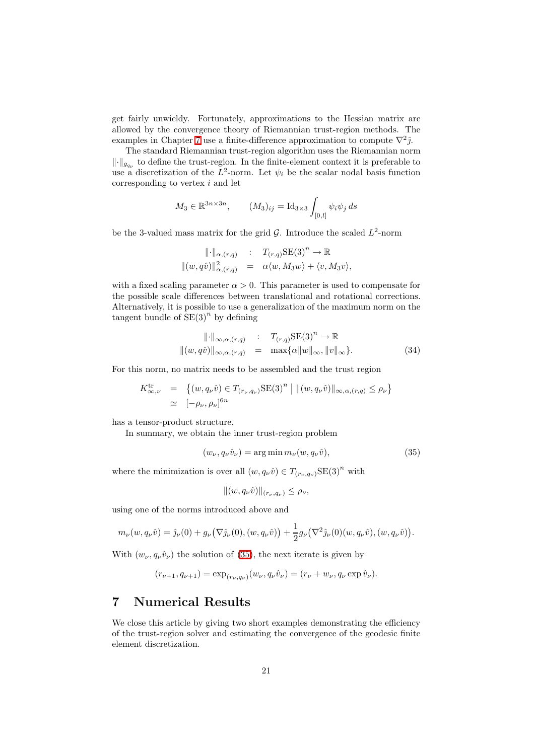get fairly unwieldy. Fortunately, approximations to the Hessian matrix are allowed by the convergence theory of Riemannian trust-region methods. The examples in Chapter [7](#page-20-0) use a finite-difference approximation to compute  $\nabla^2 \hat{j}$ .

The standard Riemannian trust-region algorithm uses the Riemannian norm  $\lVert \cdot \rVert_{g_{q_{\nu}}}$  to define the trust-region. In the finite-element context it is preferable to use a discretization of the  $L^2$ -norm. Let  $\psi_i$  be the scalar nodal basis function corresponding to vertex i and let

$$
M_3 \in \mathbb{R}^{3n \times 3n}, \qquad (M_3)_{ij} = \mathrm{Id}_{3 \times 3} \int_{[0,l]} \psi_i \psi_j \, ds
$$

be the 3-valued mass matrix for the grid  $\mathcal{G}$ . Introduce the scaled  $L^2$ -norm

$$
\begin{array}{rcl}\n\|\cdot\|_{\alpha,(r,q)} & \colon & T_{(r,q)}\text{SE(3)}^n \to \mathbb{R} \\
\|(w,q\hat{v})\|_{\alpha,(r,q)}^2 & = & \alpha\langle w,M_3w\rangle + \langle v,M_3v\rangle,\n\end{array}
$$

with a fixed scaling parameter  $\alpha > 0$ . This parameter is used to compensate for the possible scale differences between translational and rotational corrections. Alternatively, it is possible to use a generalization of the maximum norm on the tangent bundle of  $SE(3)^n$  by defining

<span id="page-20-2"></span>
$$
\|\cdot\|_{\infty,\alpha,(r,q)} \quad : \quad T_{(r,q)}\text{SE(3)}^n \to \mathbb{R}
$$
  

$$
\|(w,q\hat{v})\|_{\infty,\alpha,(r,q)} = \max{\{\alpha\|w\|_{\infty},\|v\|_{\infty}\}}.
$$
 (34)

For this norm, no matrix needs to be assembled and the trust region

$$
K_{\infty,\nu}^{\text{tr}} = \{ (w, q_{\nu}\hat{v}) \in T_{(r_{\nu}, q_{\nu})} \text{SE}(3)^{n} \mid ||(w, q_{\nu}\hat{v})||_{\infty, \alpha, (r,q)} \le \rho_{\nu} \}
$$
  

$$
\simeq [-\rho_{\nu}, \rho_{\nu}]^{6n}
$$

has a tensor-product structure.

<span id="page-20-1"></span>In summary, we obtain the inner trust-region problem

$$
(w_{\nu}, q_{\nu}\hat{v}_{\nu}) = \arg\min m_{\nu}(w, q_{\nu}\hat{v}), \qquad (35)
$$

where the minimization is over all  $(w, q_\nu \hat{v}) \in T_{(r_\nu, q_\nu)} \text{SE(3)}^n$  with

$$
||(w, q_{\nu}\hat{v})||_{(r_{\nu}, q_{\nu})} \leq \rho_{\nu},
$$

using one of the norms introduced above and

$$
m_{\nu}(w, q_{\nu}\hat{v}) = \hat{\jmath}_{\nu}(0) + g_{\nu}(\nabla \hat{\jmath}_{\nu}(0), (w, q_{\nu}\hat{v})) + \frac{1}{2}g_{\nu}(\nabla^2 \hat{\jmath}_{\nu}(0)(w, q_{\nu}\hat{v}), (w, q_{\nu}\hat{v})).
$$

With  $(w_{\nu}, q_{\nu}\hat{v}_{\nu})$  the solution of [\(35\)](#page-20-1), the next iterate is given by

$$
(r_{\nu+1}, q_{\nu+1}) = \exp_{(r_{\nu}, q_{\nu})}(w_{\nu}, q_{\nu} \hat{v}_{\nu}) = (r_{\nu} + w_{\nu}, q_{\nu} \exp \hat{v}_{\nu}).
$$

## <span id="page-20-0"></span>7 Numerical Results

We close this article by giving two short examples demonstrating the efficiency of the trust-region solver and estimating the convergence of the geodesic finite element discretization.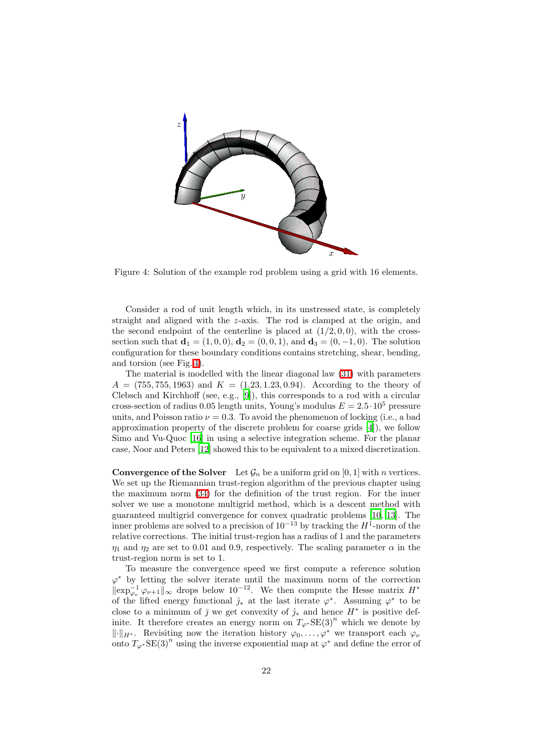

<span id="page-21-0"></span>Figure 4: Solution of the example rod problem using a grid with 16 elements.

Consider a rod of unit length which, in its unstressed state, is completely straight and aligned with the z-axis. The rod is clamped at the origin, and the second endpoint of the centerline is placed at  $(1/2, 0, 0)$ , with the crosssection such that  $\mathbf{d}_1 = (1, 0, 0), \mathbf{d}_2 = (0, 0, 1),$  and  $\mathbf{d}_3 = (0, -1, 0)$ . The solution configuration for these boundary conditions contains stretching, shear, bending, and torsion (see Fig. [4\)](#page-21-0).

The material is modelled with the linear diagonal law [\(31\)](#page-18-1) with parameters  $A = (755, 755, 1963)$  and  $K = (1.23, 1.23, 0.94)$ . According to the theory of Clebsch and Kirchhoff (see, e.g., [\[9\]](#page-24-7)), this corresponds to a rod with a circular cross-section of radius 0.05 length units, Young's modulus  $E = 2.5 \cdot 10^5$  pressure units, and Poisson ratio  $\nu = 0.3$ . To avoid the phenomenon of locking (i.e., a bad approximation property of the discrete problem for coarse grids [\[4](#page-24-10)]), we follow Simo and Vu-Quoc [\[16](#page-25-0)] in using a selective integration scheme. For the planar case, Noor and Peters [\[12\]](#page-24-12) showed this to be equivalent to a mixed discretization.

**Convergence of the Solver** Let  $\mathcal{G}_n$  be a uniform grid on [0, 1] with *n* vertices. We set up the Riemannian trust-region algorithm of the previous chapter using the maximum norm [\(34\)](#page-20-2) for the definition of the trust region. For the inner solver we use a monotone multigrid method, which is a descent method with guaranteed multigrid convergence for convex quadratic problems [\[10](#page-24-13), [13\]](#page-24-4). The inner problems are solved to a precision of  $10^{-13}$  by tracking the  $H^1$ -norm of the relative corrections. The initial trust-region has a radius of 1 and the parameters  $\eta_1$  and  $\eta_2$  are set to 0.01 and 0.9, respectively. The scaling parameter  $\alpha$  in the trust-region norm is set to 1.

To measure the convergence speed we first compute a reference solution  $\varphi^*$  by letting the solver iterate until the maximum norm of the correction  $\|\exp_{\varphi_{\nu}}^{-1}\varphi_{\nu+1}\|_{\infty}$  drops below 10<sup>-12</sup>. We then compute the Hesse matrix  $H^*$ of the lifted energy functional  $\hat{j}_*$  at the last iterate  $\varphi^*$ . Assuming  $\varphi^*$  to be close to a minimum of  $\bar{j}$  we get convexity of  $\hat{j}_*$  and hence  $H^*$  is positive definite. It therefore creates an energy norm on  $T_{\varphi^*}SE(3)^n$  which we denote by  $\|\cdot\|_{H^*}$ . Revisiting now the iteration history  $\varphi_0, \ldots, \varphi^*$  we transport each  $\varphi_\nu$ onto  $T_{\varphi^*}$ SE $(3)^n$  using the inverse exponential map at  $\varphi^*$  and define the error of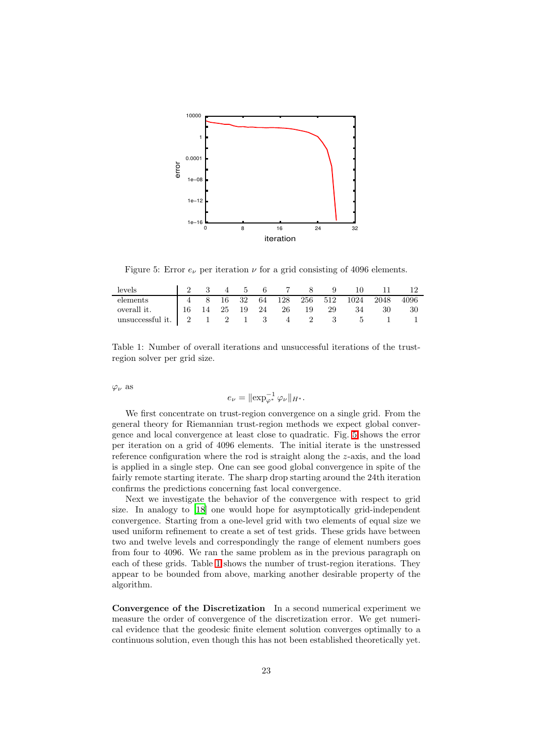

Figure 5: Error  $e_{\nu}$  per iteration  $\nu$  for a grid consisting of 4096 elements.

<span id="page-22-0"></span>

| levels      |  |  |  |  | 2 3 4 5 6 7 8 9 10 11                   |    |      |
|-------------|--|--|--|--|-----------------------------------------|----|------|
| elements    |  |  |  |  | 4 8 16 32 64 128 256 512 1024 2048 4096 |    |      |
| overall it. |  |  |  |  | 16 14 25 19 24 26 19 29 34              | 30 | - 30 |
|             |  |  |  |  |                                         |    |      |

<span id="page-22-1"></span>Table 1: Number of overall iterations and unsuccessful iterations of the trustregion solver per grid size.

 $\varphi_{\nu}$  as

$$
e_{\nu} = \|\exp_{\varphi^*}^{-1} \varphi_{\nu}\|_{H^*}.
$$

We first concentrate on trust-region convergence on a single grid. From the general theory for Riemannian trust-region methods we expect global convergence and local convergence at least close to quadratic. Fig. [5](#page-22-0) shows the error per iteration on a grid of 4096 elements. The initial iterate is the unstressed reference configuration where the rod is straight along the z-axis, and the load is applied in a single step. One can see good global convergence in spite of the fairly remote starting iterate. The sharp drop starting around the 24th iteration confirms the predictions concerning fast local convergence.

Next we investigate the behavior of the convergence with respect to grid size. In analogy to [\[18](#page-25-3)] one would hope for asymptotically grid-independent convergence. Starting from a one-level grid with two elements of equal size we used uniform refinement to create a set of test grids. These grids have between two and twelve levels and correspondingly the range of element numbers goes from four to 4096. We ran the same problem as in the previous paragraph on each of these grids. Table [1](#page-22-1) shows the number of trust-region iterations. They appear to be bounded from above, marking another desirable property of the algorithm.

Convergence of the Discretization In a second numerical experiment we measure the order of convergence of the discretization error. We get numerical evidence that the geodesic finite element solution converges optimally to a continuous solution, even though this has not been established theoretically yet.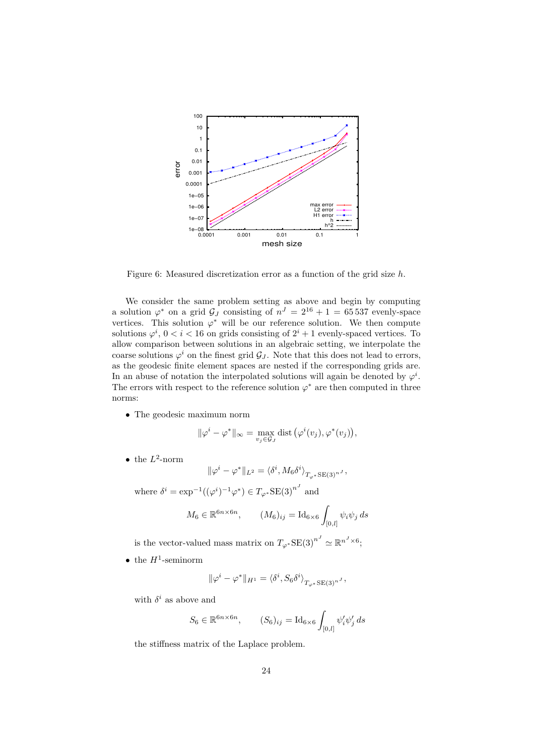

Figure 6: Measured discretization error as a function of the grid size h.

<span id="page-23-0"></span>We consider the same problem setting as above and begin by computing a solution  $\varphi^*$  on a grid  $\mathcal{G}_J$  consisting of  $n^J = 2^{16} + 1 = 65537$  evenly-space vertices. This solution  $\varphi^*$  will be our reference solution. We then compute solutions  $\varphi^i$ ,  $0 < i < 16$  on grids consisting of  $2^i + 1$  evenly-spaced vertices. To allow comparison between solutions in an algebraic setting, we interpolate the coarse solutions  $\varphi^i$  on the finest grid  $\mathcal{G}_J$ . Note that this does not lead to errors, as the geodesic finite element spaces are nested if the corresponding grids are. In an abuse of notation the interpolated solutions will again be denoted by  $\varphi^i$ . The errors with respect to the reference solution  $\varphi^*$  are then computed in three norms:

• The geodesic maximum norm

$$
\|\varphi^{i}-\varphi^{*}\|_{\infty}=\max_{v_{j}\in\mathcal{G}_{J}}\text{dist}(\varphi^{i}(v_{j}),\varphi^{*}(v_{j})),
$$

• the  $L^2$ -norm

$$
\|\varphi^i-\varphi^*\|_{L^2}=\langle \delta^i, M_6 \delta^i \rangle_{T_{\varphi^*} \text{SE}(3)^{n^J}},
$$

where  $\delta^i = \exp^{-1}((\varphi^i)^{-1}\varphi^*) \in T_{\varphi^*}SE(3)^{n^J}$  and

$$
M_6 \in \mathbb{R}^{6n \times 6n}, \qquad (M_6)_{ij} = \mathrm{Id}_{6 \times 6} \int_{[0,l]} \psi_i \psi_j \, ds
$$

is the vector-valued mass matrix on  $T_{\varphi^*}$ SE $(3)^{n^J} \simeq \mathbb{R}^{n^J \times 6}$ ;

• the  $H^1$ -seminorm

$$
\|\varphi^{i} - \varphi^{*}\|_{H^{1}} = \langle \delta^{i}, S_{6} \delta^{i} \rangle_{T_{\varphi^{*}} \text{SE}(3)^{n}} ,
$$

with  $\delta^i$  as above and

$$
S_6 \in \mathbb{R}^{6n \times 6n}, \qquad (S_6)_{ij} = \mathrm{Id}_{6 \times 6} \int_{[0,l]} \psi'_i \psi'_j ds
$$

the stiffness matrix of the Laplace problem.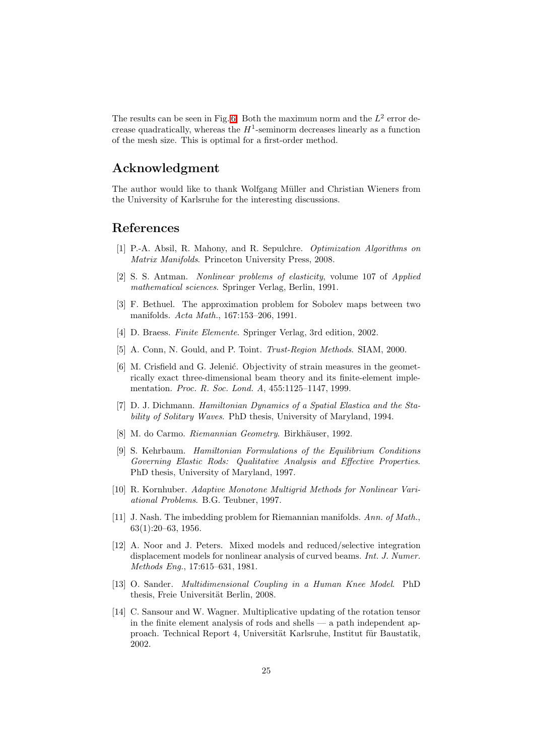The results can be seen in Fig. [6.](#page-23-0) Both the maximum norm and the  $L^2$  error decrease quadratically, whereas the  $H^1$ -seminorm decreases linearly as a function of the mesh size. This is optimal for a first-order method.

# Acknowledgment

The author would like to thank Wolfgang Müller and Christian Wieners from the University of Karlsruhe for the interesting discussions.

### <span id="page-24-1"></span>References

- [1] P.-A. Absil, R. Mahony, and R. Sepulchre. *Optimization Algorithms on Matrix Manifolds*. Princeton University Press, 2008.
- <span id="page-24-6"></span>[2] S. S. Antman. *Nonlinear problems of elasticity*, volume 107 of *Applied mathematical sciences*. Springer Verlag, Berlin, 1991.
- <span id="page-24-8"></span>[3] F. Bethuel. The approximation problem for Sobolev maps between two manifolds. *Acta Math.*, 167:153–206, 1991.
- <span id="page-24-10"></span>[4] D. Braess. *Finite Elemente*. Springer Verlag, 3rd edition, 2002.
- <span id="page-24-11"></span>[5] A. Conn, N. Gould, and P. Toint. *Trust-Region Methods*. SIAM, 2000.
- <span id="page-24-0"></span>[6] M. Crisfield and G. Jelenić. Objectivity of strain measures in the geometrically exact three-dimensional beam theory and its finite-element implementation. *Proc. R. Soc. Lond. A*, 455:1125–1147, 1999.
- <span id="page-24-5"></span>[7] D. J. Dichmann. *Hamiltonian Dynamics of a Spatial Elastica and the Stability of Solitary Waves*. PhD thesis, University of Maryland, 1994.
- <span id="page-24-3"></span>[8] M. do Carmo. *Riemannian Geometry*. Birkhäuser, 1992.
- <span id="page-24-7"></span>[9] S. Kehrbaum. *Hamiltonian Formulations of the Equilibrium Conditions Governing Elastic Rods: Qualitative Analysis and Effective Properties*. PhD thesis, University of Maryland, 1997.
- <span id="page-24-13"></span>[10] R. Kornhuber. *Adaptive Monotone Multigrid Methods for Nonlinear Variational Problems*. B.G. Teubner, 1997.
- <span id="page-24-9"></span>[11] J. Nash. The imbedding problem for Riemannian manifolds. *Ann. of Math.*, 63(1):20–63, 1956.
- <span id="page-24-12"></span>[12] A. Noor and J. Peters. Mixed models and reduced/selective integration displacement models for nonlinear analysis of curved beams. *Int. J. Numer. Methods Eng.*, 17:615–631, 1981.
- <span id="page-24-4"></span>[13] O. Sander. *Multidimensional Coupling in a Human Knee Model*. PhD thesis, Freie Universität Berlin, 2008.
- <span id="page-24-2"></span>[14] C. Sansour and W. Wagner. Multiplicative updating of the rotation tensor in the finite element analysis of rods and shells — a path independent approach. Technical Report 4, Universität Karlsruhe, Institut für Baustatik, 2002.